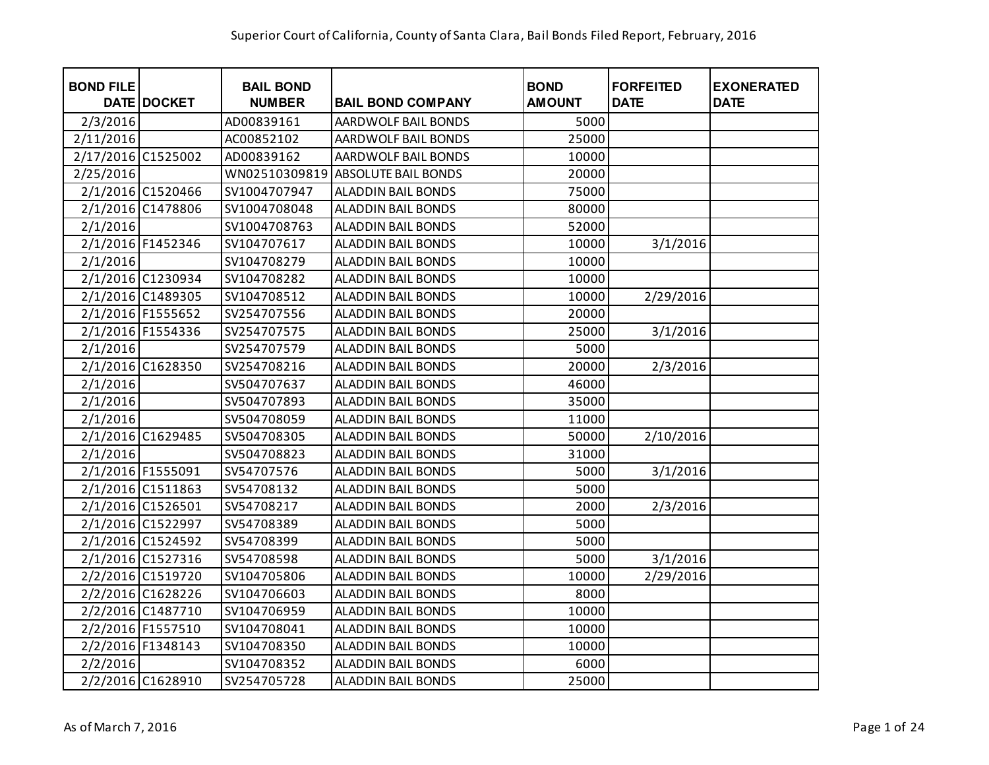| <b>BOND FILE</b>   | DATE DOCKET       | <b>BAIL BOND</b><br><b>NUMBER</b> | <b>BAIL BOND COMPANY</b>   | <b>BOND</b><br><b>AMOUNT</b> | <b>FORFEITED</b><br><b>DATE</b> | <b>EXONERATED</b><br><b>DATE</b> |
|--------------------|-------------------|-----------------------------------|----------------------------|------------------------------|---------------------------------|----------------------------------|
| 2/3/2016           |                   | AD00839161                        | AARDWOLF BAIL BONDS        | 5000                         |                                 |                                  |
| 2/11/2016          |                   | AC00852102                        | AARDWOLF BAIL BONDS        | 25000                        |                                 |                                  |
| 2/17/2016 C1525002 |                   | AD00839162                        | AARDWOLF BAIL BONDS        | 10000                        |                                 |                                  |
| 2/25/2016          |                   | WN02510309819                     | <b>ABSOLUTE BAIL BONDS</b> | 20000                        |                                 |                                  |
|                    | 2/1/2016 C1520466 | SV1004707947                      | ALADDIN BAIL BONDS         | 75000                        |                                 |                                  |
|                    | 2/1/2016 C1478806 | SV1004708048                      | <b>ALADDIN BAIL BONDS</b>  | 80000                        |                                 |                                  |
| 2/1/2016           |                   | SV1004708763                      | <b>ALADDIN BAIL BONDS</b>  | 52000                        |                                 |                                  |
|                    | 2/1/2016 F1452346 | SV104707617                       | ALADDIN BAIL BONDS         | 10000                        | 3/1/2016                        |                                  |
| 2/1/2016           |                   | SV104708279                       | ALADDIN BAIL BONDS         | 10000                        |                                 |                                  |
|                    | 2/1/2016 C1230934 | SV104708282                       | <b>ALADDIN BAIL BONDS</b>  | 10000                        |                                 |                                  |
|                    | 2/1/2016 C1489305 | SV104708512                       | <b>ALADDIN BAIL BONDS</b>  | 10000                        | 2/29/2016                       |                                  |
|                    | 2/1/2016 F1555652 | SV254707556                       | ALADDIN BAIL BONDS         | 20000                        |                                 |                                  |
|                    | 2/1/2016 F1554336 | SV254707575                       | ALADDIN BAIL BONDS         | 25000                        | 3/1/2016                        |                                  |
| 2/1/2016           |                   | SV254707579                       | <b>ALADDIN BAIL BONDS</b>  | 5000                         |                                 |                                  |
|                    | 2/1/2016 C1628350 | SV254708216                       | <b>ALADDIN BAIL BONDS</b>  | 20000                        | 2/3/2016                        |                                  |
| 2/1/2016           |                   | SV504707637                       | <b>ALADDIN BAIL BONDS</b>  | 46000                        |                                 |                                  |
| 2/1/2016           |                   | SV504707893                       | <b>ALADDIN BAIL BONDS</b>  | 35000                        |                                 |                                  |
| 2/1/2016           |                   | SV504708059                       | <b>ALADDIN BAIL BONDS</b>  | 11000                        |                                 |                                  |
|                    | 2/1/2016 C1629485 | SV504708305                       | <b>ALADDIN BAIL BONDS</b>  | 50000                        | 2/10/2016                       |                                  |
| 2/1/2016           |                   | SV504708823                       | <b>ALADDIN BAIL BONDS</b>  | 31000                        |                                 |                                  |
|                    | 2/1/2016 F1555091 | SV54707576                        | <b>ALADDIN BAIL BONDS</b>  | 5000                         | 3/1/2016                        |                                  |
|                    | 2/1/2016 C1511863 | SV54708132                        | <b>ALADDIN BAIL BONDS</b>  | 5000                         |                                 |                                  |
|                    | 2/1/2016 C1526501 | SV54708217                        | <b>ALADDIN BAIL BONDS</b>  | 2000                         | 2/3/2016                        |                                  |
|                    | 2/1/2016 C1522997 | SV54708389                        | <b>ALADDIN BAIL BONDS</b>  | 5000                         |                                 |                                  |
|                    | 2/1/2016 C1524592 | SV54708399                        | <b>ALADDIN BAIL BONDS</b>  | 5000                         |                                 |                                  |
|                    | 2/1/2016 C1527316 | SV54708598                        | ALADDIN BAIL BONDS         | 5000                         | 3/1/2016                        |                                  |
|                    | 2/2/2016 C1519720 | SV104705806                       | <b>ALADDIN BAIL BONDS</b>  | 10000                        | $\frac{2}{2}$ 29/2016           |                                  |
|                    | 2/2/2016 C1628226 | SV104706603                       | <b>ALADDIN BAIL BONDS</b>  | 8000                         |                                 |                                  |
|                    | 2/2/2016 C1487710 | SV104706959                       | <b>ALADDIN BAIL BONDS</b>  | 10000                        |                                 |                                  |
|                    | 2/2/2016 F1557510 | SV104708041                       | ALADDIN BAIL BONDS         | 10000                        |                                 |                                  |
|                    | 2/2/2016 F1348143 | SV104708350                       | ALADDIN BAIL BONDS         | 10000                        |                                 |                                  |
| 2/2/2016           |                   | SV104708352                       | ALADDIN BAIL BONDS         | 6000                         |                                 |                                  |
|                    | 2/2/2016 C1628910 | SV254705728                       | <b>ALADDIN BAIL BONDS</b>  | 25000                        |                                 |                                  |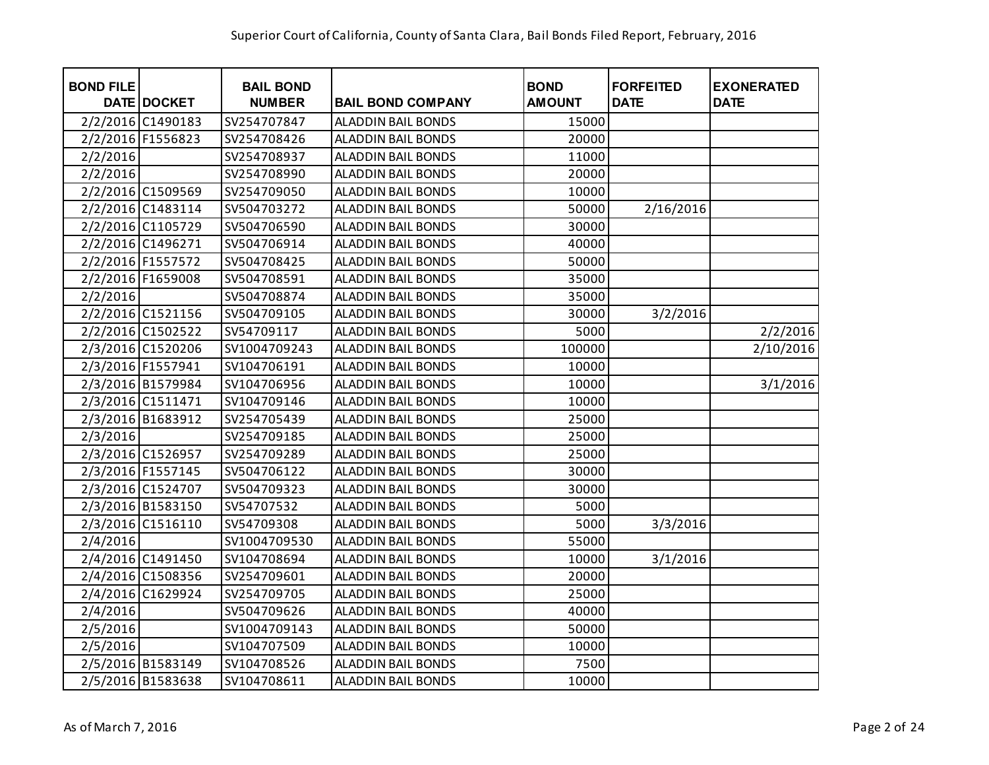| <b>BOND FILE</b> | DATE DOCKET       | <b>BAIL BOND</b><br><b>NUMBER</b> | <b>BAIL BOND COMPANY</b>  | <b>BOND</b><br><b>AMOUNT</b> | <b>FORFEITED</b><br><b>DATE</b> | <b>EXONERATED</b><br><b>DATE</b> |
|------------------|-------------------|-----------------------------------|---------------------------|------------------------------|---------------------------------|----------------------------------|
|                  | 2/2/2016 C1490183 | SV254707847                       | <b>ALADDIN BAIL BONDS</b> | 15000                        |                                 |                                  |
|                  | 2/2/2016 F1556823 | SV254708426                       | <b>ALADDIN BAIL BONDS</b> | 20000                        |                                 |                                  |
| 2/2/2016         |                   | SV254708937                       | <b>ALADDIN BAIL BONDS</b> | 11000                        |                                 |                                  |
| 2/2/2016         |                   | SV254708990                       | <b>ALADDIN BAIL BONDS</b> | 20000                        |                                 |                                  |
|                  | 2/2/2016 C1509569 | SV254709050                       | <b>ALADDIN BAIL BONDS</b> | 10000                        |                                 |                                  |
|                  | 2/2/2016 C1483114 | SV504703272                       | <b>ALADDIN BAIL BONDS</b> | 50000                        | 2/16/2016                       |                                  |
|                  | 2/2/2016 C1105729 | SV504706590                       | ALADDIN BAIL BONDS        | 30000                        |                                 |                                  |
|                  | 2/2/2016 C1496271 | SV504706914                       | ALADDIN BAIL BONDS        | 40000                        |                                 |                                  |
|                  | 2/2/2016 F1557572 | SV504708425                       | ALADDIN BAIL BONDS        | 50000                        |                                 |                                  |
|                  | 2/2/2016 F1659008 | SV504708591                       | <b>ALADDIN BAIL BONDS</b> | 35000                        |                                 |                                  |
| 2/2/2016         |                   | SV504708874                       | <b>ALADDIN BAIL BONDS</b> | 35000                        |                                 |                                  |
|                  | 2/2/2016 C1521156 | SV504709105                       | <b>ALADDIN BAIL BONDS</b> | 30000                        | 3/2/2016                        |                                  |
|                  | 2/2/2016 C1502522 | SV54709117                        | <b>ALADDIN BAIL BONDS</b> | 5000                         |                                 | 2/2/2016                         |
|                  | 2/3/2016 C1520206 | SV1004709243                      | <b>ALADDIN BAIL BONDS</b> | 100000                       |                                 | 2/10/2016                        |
|                  | 2/3/2016 F1557941 | SV104706191                       | <b>ALADDIN BAIL BONDS</b> | 10000                        |                                 |                                  |
|                  | 2/3/2016 B1579984 | SV104706956                       | <b>ALADDIN BAIL BONDS</b> | 10000                        |                                 | 3/1/2016                         |
|                  | 2/3/2016 C1511471 | SV104709146                       | <b>ALADDIN BAIL BONDS</b> | 10000                        |                                 |                                  |
|                  | 2/3/2016 B1683912 | SV254705439                       | ALADDIN BAIL BONDS        | 25000                        |                                 |                                  |
| 2/3/2016         |                   | SV254709185                       | ALADDIN BAIL BONDS        | 25000                        |                                 |                                  |
|                  | 2/3/2016 C1526957 | SV254709289                       | <b>ALADDIN BAIL BONDS</b> | 25000                        |                                 |                                  |
|                  | 2/3/2016 F1557145 | SV504706122                       | <b>ALADDIN BAIL BONDS</b> | 30000                        |                                 |                                  |
|                  | 2/3/2016 C1524707 | SV504709323                       | <b>ALADDIN BAIL BONDS</b> | 30000                        |                                 |                                  |
|                  | 2/3/2016 B1583150 | SV54707532                        | <b>ALADDIN BAIL BONDS</b> | 5000                         |                                 |                                  |
|                  | 2/3/2016 C1516110 | SV54709308                        | <b>ALADDIN BAIL BONDS</b> | 5000                         | 3/3/2016                        |                                  |
| 2/4/2016         |                   | SV1004709530                      | ALADDIN BAIL BONDS        | 55000                        |                                 |                                  |
|                  | 2/4/2016 C1491450 | SV104708694                       | <b>ALADDIN BAIL BONDS</b> | 10000                        | 3/1/2016                        |                                  |
|                  | 2/4/2016 C1508356 | SV254709601                       | <b>ALADDIN BAIL BONDS</b> | 20000                        |                                 |                                  |
|                  | 2/4/2016 C1629924 | SV254709705                       | ALADDIN BAIL BONDS        | 25000                        |                                 |                                  |
| 2/4/2016         |                   | SV504709626                       | <b>ALADDIN BAIL BONDS</b> | 40000                        |                                 |                                  |
| 2/5/2016         |                   | SV1004709143                      | ALADDIN BAIL BONDS        | 50000                        |                                 |                                  |
| 2/5/2016         |                   | SV104707509                       | ALADDIN BAIL BONDS        | 10000                        |                                 |                                  |
|                  | 2/5/2016 B1583149 | SV104708526                       | ALADDIN BAIL BONDS        | 7500                         |                                 |                                  |
|                  | 2/5/2016 B1583638 | SV104708611                       | <b>ALADDIN BAIL BONDS</b> | 10000                        |                                 |                                  |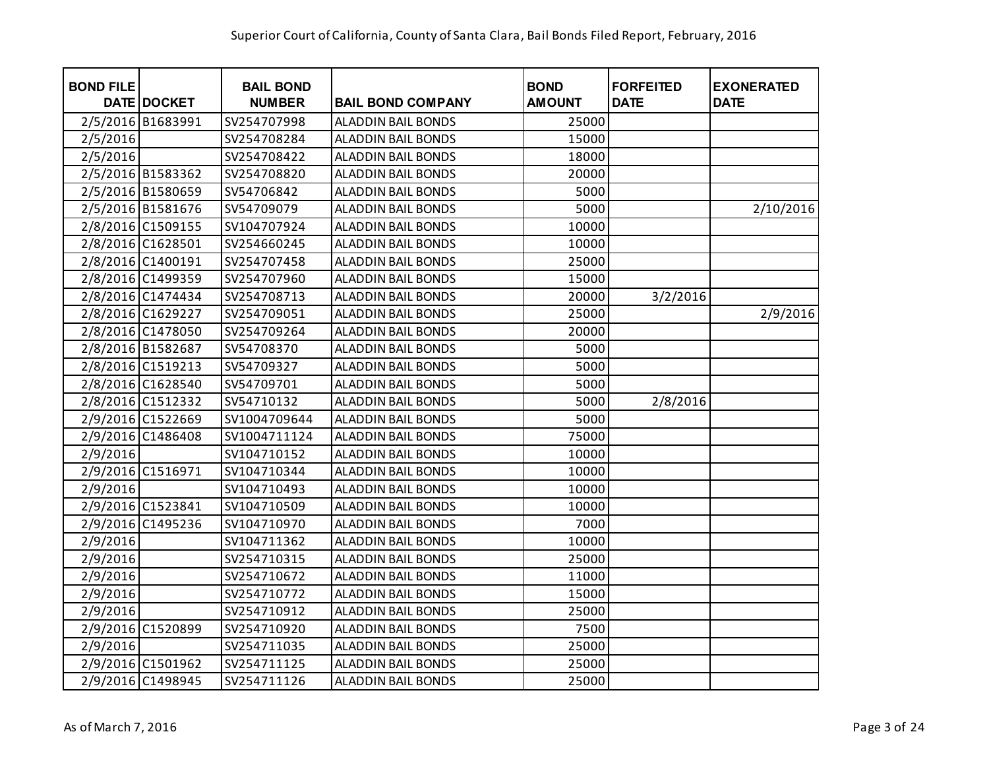| <b>BOND FILE</b> | DATE DOCKET       | <b>BAIL BOND</b><br><b>NUMBER</b> | <b>BAIL BOND COMPANY</b>  | <b>BOND</b><br><b>AMOUNT</b> | <b>FORFEITED</b><br><b>DATE</b> | <b>EXONERATED</b><br><b>DATE</b> |
|------------------|-------------------|-----------------------------------|---------------------------|------------------------------|---------------------------------|----------------------------------|
|                  | 2/5/2016 B1683991 | SV254707998                       | <b>ALADDIN BAIL BONDS</b> | 25000                        |                                 |                                  |
| 2/5/2016         |                   | SV254708284                       | <b>ALADDIN BAIL BONDS</b> | 15000                        |                                 |                                  |
| 2/5/2016         |                   | SV254708422                       | <b>ALADDIN BAIL BONDS</b> | 18000                        |                                 |                                  |
|                  | 2/5/2016 B1583362 | SV254708820                       | <b>ALADDIN BAIL BONDS</b> | 20000                        |                                 |                                  |
|                  | 2/5/2016 B1580659 | SV54706842                        | <b>ALADDIN BAIL BONDS</b> | 5000                         |                                 |                                  |
|                  | 2/5/2016 B1581676 | SV54709079                        | ALADDIN BAIL BONDS        | 5000                         |                                 | 2/10/2016                        |
|                  | 2/8/2016 C1509155 | SV104707924                       | ALADDIN BAIL BONDS        | 10000                        |                                 |                                  |
|                  | 2/8/2016 C1628501 | SV254660245                       | ALADDIN BAIL BONDS        | 10000                        |                                 |                                  |
|                  | 2/8/2016 C1400191 | SV254707458                       | ALADDIN BAIL BONDS        | 25000                        |                                 |                                  |
|                  | 2/8/2016 C1499359 | SV254707960                       | <b>ALADDIN BAIL BONDS</b> | 15000                        |                                 |                                  |
|                  | 2/8/2016 C1474434 | SV254708713                       | <b>ALADDIN BAIL BONDS</b> | 20000                        | 3/2/2016                        |                                  |
|                  | 2/8/2016 C1629227 | SV254709051                       | <b>ALADDIN BAIL BONDS</b> | 25000                        |                                 | 2/9/2016                         |
|                  | 2/8/2016 C1478050 | SV254709264                       | <b>ALADDIN BAIL BONDS</b> | 20000                        |                                 |                                  |
|                  | 2/8/2016 B1582687 | SV54708370                        | <b>ALADDIN BAIL BONDS</b> | 5000                         |                                 |                                  |
|                  | 2/8/2016 C1519213 | SV54709327                        | <b>ALADDIN BAIL BONDS</b> | 5000                         |                                 |                                  |
|                  | 2/8/2016 C1628540 | SV54709701                        | <b>ALADDIN BAIL BONDS</b> | 5000                         |                                 |                                  |
|                  | 2/8/2016 C1512332 | SV54710132                        | <b>ALADDIN BAIL BONDS</b> | 5000                         | 2/8/2016                        |                                  |
|                  | 2/9/2016 C1522669 | SV1004709644                      | ALADDIN BAIL BONDS        | 5000                         |                                 |                                  |
|                  | 2/9/2016 C1486408 | SV1004711124                      | ALADDIN BAIL BONDS        | 75000                        |                                 |                                  |
| 2/9/2016         |                   | SV104710152                       | <b>ALADDIN BAIL BONDS</b> | 10000                        |                                 |                                  |
|                  | 2/9/2016 C1516971 | SV104710344                       | <b>ALADDIN BAIL BONDS</b> | 10000                        |                                 |                                  |
| 2/9/2016         |                   | SV104710493                       | <b>ALADDIN BAIL BONDS</b> | 10000                        |                                 |                                  |
|                  | 2/9/2016 C1523841 | SV104710509                       | <b>ALADDIN BAIL BONDS</b> | 10000                        |                                 |                                  |
|                  | 2/9/2016 C1495236 | SV104710970                       | <b>ALADDIN BAIL BONDS</b> | 7000                         |                                 |                                  |
| 2/9/2016         |                   | SV104711362                       | <b>ALADDIN BAIL BONDS</b> | 10000                        |                                 |                                  |
| 2/9/2016         |                   | SV254710315                       | <b>ALADDIN BAIL BONDS</b> | 25000                        |                                 |                                  |
| 2/9/2016         |                   | SV254710672                       | <b>ALADDIN BAIL BONDS</b> | 11000                        |                                 |                                  |
| 2/9/2016         |                   | SV254710772                       | ALADDIN BAIL BONDS        | 15000                        |                                 |                                  |
| 2/9/2016         |                   | SV254710912                       | <b>ALADDIN BAIL BONDS</b> | 25000                        |                                 |                                  |
|                  | 2/9/2016 C1520899 | SV254710920                       | ALADDIN BAIL BONDS        | 7500                         |                                 |                                  |
| 2/9/2016         |                   | SV254711035                       | ALADDIN BAIL BONDS        | 25000                        |                                 |                                  |
|                  | 2/9/2016 C1501962 | SV254711125                       | ALADDIN BAIL BONDS        | 25000                        |                                 |                                  |
|                  | 2/9/2016 C1498945 | SV254711126                       | <b>ALADDIN BAIL BONDS</b> | 25000                        |                                 |                                  |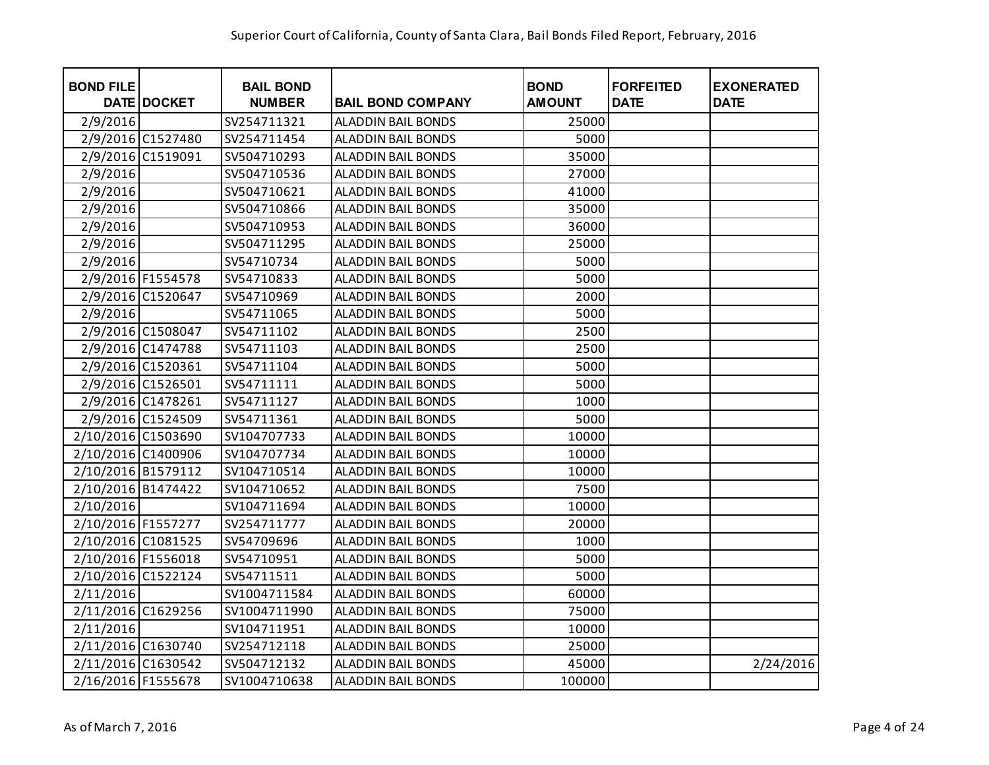| <b>BOND FILE</b>   | <b>DATE DOCKET</b> | <b>BAIL BOND</b><br><b>NUMBER</b> | <b>BAIL BOND COMPANY</b>  | <b>BOND</b><br><b>AMOUNT</b> | <b>FORFEITED</b><br><b>DATE</b> | <b>EXONERATED</b><br><b>DATE</b> |
|--------------------|--------------------|-----------------------------------|---------------------------|------------------------------|---------------------------------|----------------------------------|
| 2/9/2016           |                    | SV254711321                       | <b>ALADDIN BAIL BONDS</b> | 25000                        |                                 |                                  |
|                    | 2/9/2016 C1527480  | SV254711454                       | <b>ALADDIN BAIL BONDS</b> | 5000                         |                                 |                                  |
|                    | 2/9/2016 C1519091  | SV504710293                       | <b>ALADDIN BAIL BONDS</b> | 35000                        |                                 |                                  |
| 2/9/2016           |                    | SV504710536                       | <b>ALADDIN BAIL BONDS</b> | 27000                        |                                 |                                  |
| 2/9/2016           |                    | SV504710621                       | <b>ALADDIN BAIL BONDS</b> | 41000                        |                                 |                                  |
| 2/9/2016           |                    | SV504710866                       | <b>ALADDIN BAIL BONDS</b> | 35000                        |                                 |                                  |
| 2/9/2016           |                    | SV504710953                       | ALADDIN BAIL BONDS        | 36000                        |                                 |                                  |
| 2/9/2016           |                    | SV504711295                       | ALADDIN BAIL BONDS        | 25000                        |                                 |                                  |
| 2/9/2016           |                    | SV54710734                        | <b>ALADDIN BAIL BONDS</b> | 5000                         |                                 |                                  |
|                    | 2/9/2016 F1554578  | SV54710833                        | ALADDIN BAIL BONDS        | 5000                         |                                 |                                  |
|                    | 2/9/2016 C1520647  | SV54710969                        | <b>ALADDIN BAIL BONDS</b> | 2000                         |                                 |                                  |
| 2/9/2016           |                    | SV54711065                        | <b>ALADDIN BAIL BONDS</b> | 5000                         |                                 |                                  |
|                    | 2/9/2016 C1508047  | SV54711102                        | <b>ALADDIN BAIL BONDS</b> | 2500                         |                                 |                                  |
|                    | 2/9/2016 C1474788  | SV54711103                        | <b>ALADDIN BAIL BONDS</b> | 2500                         |                                 |                                  |
|                    | 2/9/2016 C1520361  | SV54711104                        | <b>ALADDIN BAIL BONDS</b> | 5000                         |                                 |                                  |
|                    | 2/9/2016 C1526501  | SV54711111                        | <b>ALADDIN BAIL BONDS</b> | 5000                         |                                 |                                  |
|                    | 2/9/2016 C1478261  | SV54711127                        | <b>ALADDIN BAIL BONDS</b> | 1000                         |                                 |                                  |
|                    | 2/9/2016 C1524509  | SV54711361                        | ALADDIN BAIL BONDS        | 5000                         |                                 |                                  |
| 2/10/2016 C1503690 |                    | SV104707733                       | ALADDIN BAIL BONDS        | 10000                        |                                 |                                  |
| 2/10/2016 C1400906 |                    | SV104707734                       | <b>ALADDIN BAIL BONDS</b> | 10000                        |                                 |                                  |
| 2/10/2016 B1579112 |                    | SV104710514                       | <b>ALADDIN BAIL BONDS</b> | 10000                        |                                 |                                  |
| 2/10/2016 B1474422 |                    | SV104710652                       | <b>ALADDIN BAIL BONDS</b> | 7500                         |                                 |                                  |
| 2/10/2016          |                    | SV104711694                       | <b>ALADDIN BAIL BONDS</b> | 10000                        |                                 |                                  |
| 2/10/2016 F1557277 |                    | SV254711777                       | <b>ALADDIN BAIL BONDS</b> | 20000                        |                                 |                                  |
| 2/10/2016 C1081525 |                    | SV54709696                        | <b>ALADDIN BAIL BONDS</b> | 1000                         |                                 |                                  |
| 2/10/2016 F1556018 |                    | SV54710951                        | <b>ALADDIN BAIL BONDS</b> | 5000                         |                                 |                                  |
| 2/10/2016 C1522124 |                    | SV54711511                        | <b>ALADDIN BAIL BONDS</b> | 5000                         |                                 |                                  |
| 2/11/2016          |                    | SV1004711584                      | <b>ALADDIN BAIL BONDS</b> | 60000                        |                                 |                                  |
| 2/11/2016 C1629256 |                    | SV1004711990                      | ALADDIN BAIL BONDS        | 75000                        |                                 |                                  |
| 2/11/2016          |                    | SV104711951                       | ALADDIN BAIL BONDS        | 10000                        |                                 |                                  |
| 2/11/2016 C1630740 |                    | SV254712118                       | ALADDIN BAIL BONDS        | 25000                        |                                 |                                  |
| 2/11/2016 C1630542 |                    | SV504712132                       | ALADDIN BAIL BONDS        | 45000                        |                                 | 2/24/2016                        |
| 2/16/2016 F1555678 |                    | SV1004710638                      | <b>ALADDIN BAIL BONDS</b> | 100000                       |                                 |                                  |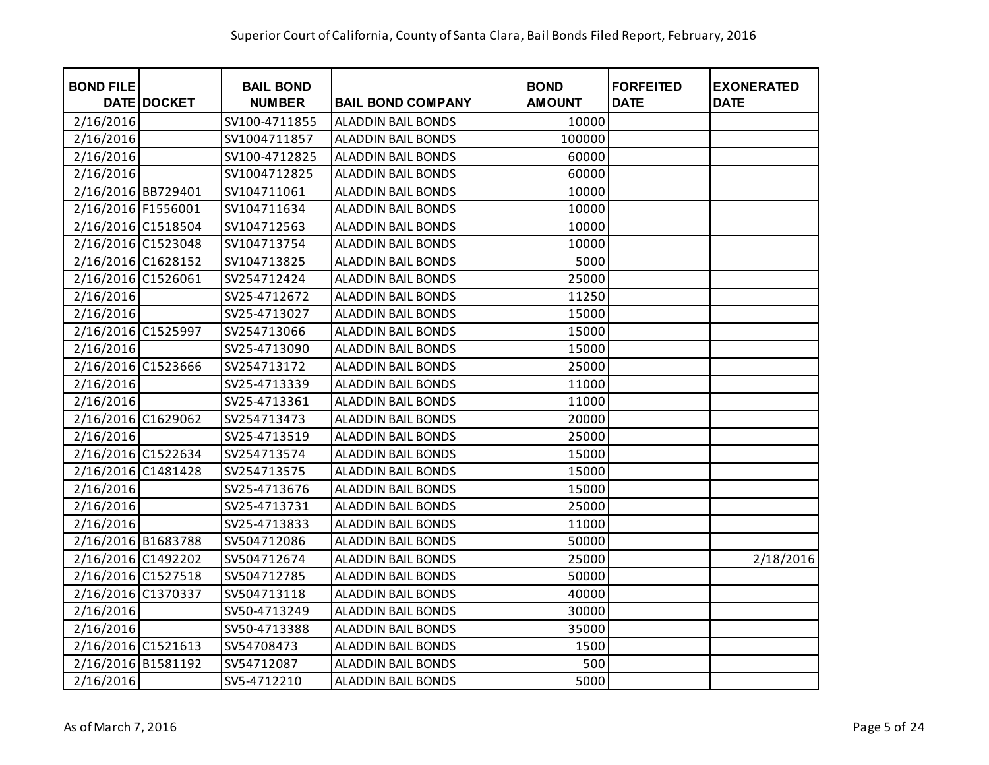| <b>BOND FILE</b>   | <b>DATE DOCKET</b> | <b>BAIL BOND</b><br><b>NUMBER</b> | <b>BAIL BOND COMPANY</b>  | <b>BOND</b><br><b>AMOUNT</b> | <b>FORFEITED</b><br><b>DATE</b> | <b>EXONERATED</b><br><b>DATE</b> |
|--------------------|--------------------|-----------------------------------|---------------------------|------------------------------|---------------------------------|----------------------------------|
| 2/16/2016          |                    | SV100-4711855                     | <b>ALADDIN BAIL BONDS</b> | 10000                        |                                 |                                  |
| 2/16/2016          |                    | SV1004711857                      | <b>ALADDIN BAIL BONDS</b> | 100000                       |                                 |                                  |
| 2/16/2016          |                    | SV100-4712825                     | <b>ALADDIN BAIL BONDS</b> | 60000                        |                                 |                                  |
| 2/16/2016          |                    | SV1004712825                      | <b>ALADDIN BAIL BONDS</b> | 60000                        |                                 |                                  |
| 2/16/2016 BB729401 |                    | SV104711061                       | <b>ALADDIN BAIL BONDS</b> | 10000                        |                                 |                                  |
| 2/16/2016 F1556001 |                    | SV104711634                       | <b>ALADDIN BAIL BONDS</b> | 10000                        |                                 |                                  |
| 2/16/2016 C1518504 |                    | SV104712563                       | ALADDIN BAIL BONDS        | 10000                        |                                 |                                  |
| 2/16/2016 C1523048 |                    | SV104713754                       | ALADDIN BAIL BONDS        | 10000                        |                                 |                                  |
| 2/16/2016 C1628152 |                    | SV104713825                       | <b>ALADDIN BAIL BONDS</b> | 5000                         |                                 |                                  |
| 2/16/2016 C1526061 |                    | SV254712424                       | <b>ALADDIN BAIL BONDS</b> | 25000                        |                                 |                                  |
| 2/16/2016          |                    | SV25-4712672                      | <b>ALADDIN BAIL BONDS</b> | 11250                        |                                 |                                  |
| 2/16/2016          |                    | SV25-4713027                      | <b>ALADDIN BAIL BONDS</b> | 15000                        |                                 |                                  |
| 2/16/2016 C1525997 |                    | SV254713066                       | <b>ALADDIN BAIL BONDS</b> | 15000                        |                                 |                                  |
| 2/16/2016          |                    | SV25-4713090                      | <b>ALADDIN BAIL BONDS</b> | 15000                        |                                 |                                  |
| 2/16/2016 C1523666 |                    | SV254713172                       | ALADDIN BAIL BONDS        | 25000                        |                                 |                                  |
| 2/16/2016          |                    | SV25-4713339                      | ALADDIN BAIL BONDS        | 11000                        |                                 |                                  |
| 2/16/2016          |                    | SV25-4713361                      | <b>ALADDIN BAIL BONDS</b> | 11000                        |                                 |                                  |
| 2/16/2016 C1629062 |                    | SV254713473                       | ALADDIN BAIL BONDS        | 20000                        |                                 |                                  |
| 2/16/2016          |                    | SV25-4713519                      | ALADDIN BAIL BONDS        | 25000                        |                                 |                                  |
| 2/16/2016 C1522634 |                    | SV254713574                       | <b>ALADDIN BAIL BONDS</b> | 15000                        |                                 |                                  |
| 2/16/2016 C1481428 |                    | SV254713575                       | <b>ALADDIN BAIL BONDS</b> | 15000                        |                                 |                                  |
| 2/16/2016          |                    | SV25-4713676                      | <b>ALADDIN BAIL BONDS</b> | 15000                        |                                 |                                  |
| 2/16/2016          |                    | SV25-4713731                      | <b>ALADDIN BAIL BONDS</b> | 25000                        |                                 |                                  |
| 2/16/2016          |                    | SV25-4713833                      | <b>ALADDIN BAIL BONDS</b> | 11000                        |                                 |                                  |
| 2/16/2016 B1683788 |                    | SV504712086                       | <b>ALADDIN BAIL BONDS</b> | 50000                        |                                 |                                  |
| 2/16/2016 C1492202 |                    | SV504712674                       | <b>ALADDIN BAIL BONDS</b> | 25000                        |                                 | 2/18/2016                        |
| 2/16/2016 C1527518 |                    | SV504712785                       | <b>ALADDIN BAIL BONDS</b> | 50000                        |                                 |                                  |
| 2/16/2016 C1370337 |                    | SV504713118                       | <b>ALADDIN BAIL BONDS</b> | 40000                        |                                 |                                  |
| 2/16/2016          |                    | SV50-4713249                      | ALADDIN BAIL BONDS        | 30000                        |                                 |                                  |
| 2/16/2016          |                    | SV50-4713388                      | <b>ALADDIN BAIL BONDS</b> | 35000                        |                                 |                                  |
| 2/16/2016 C1521613 |                    | SV54708473                        | <b>ALADDIN BAIL BONDS</b> | 1500                         |                                 |                                  |
| 2/16/2016 B1581192 |                    | SV54712087                        | <b>ALADDIN BAIL BONDS</b> | 500                          |                                 |                                  |
| 2/16/2016          |                    | SV5-4712210                       | <b>ALADDIN BAIL BONDS</b> | 5000                         |                                 |                                  |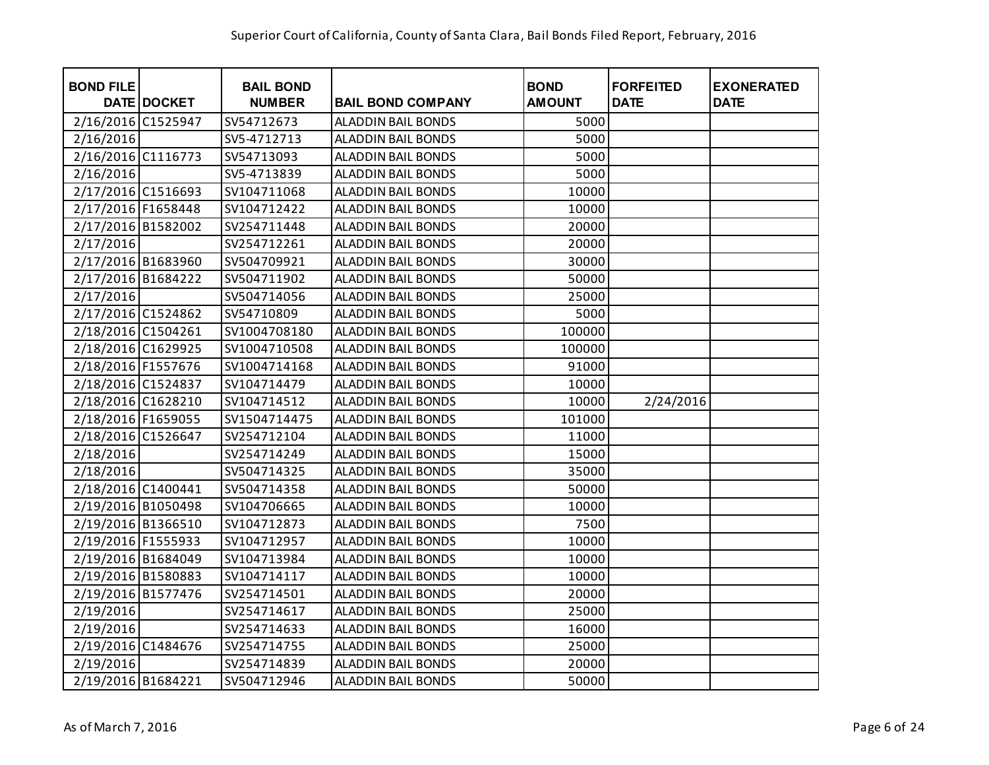| <b>BOND FILE</b>   | <b>DATE DOCKET</b> | <b>BAIL BOND</b><br><b>NUMBER</b> | <b>BAIL BOND COMPANY</b>  | <b>BOND</b><br><b>AMOUNT</b> | <b>FORFEITED</b><br><b>DATE</b> | <b>EXONERATED</b><br><b>DATE</b> |
|--------------------|--------------------|-----------------------------------|---------------------------|------------------------------|---------------------------------|----------------------------------|
| 2/16/2016 C1525947 |                    | SV54712673                        | <b>ALADDIN BAIL BONDS</b> | 5000                         |                                 |                                  |
| 2/16/2016          |                    | SV5-4712713                       | <b>ALADDIN BAIL BONDS</b> | 5000                         |                                 |                                  |
| 2/16/2016 C1116773 |                    | SV54713093                        | <b>ALADDIN BAIL BONDS</b> | 5000                         |                                 |                                  |
| 2/16/2016          |                    | SV5-4713839                       | <b>ALADDIN BAIL BONDS</b> | 5000                         |                                 |                                  |
| 2/17/2016 C1516693 |                    | SV104711068                       | <b>ALADDIN BAIL BONDS</b> | 10000                        |                                 |                                  |
| 2/17/2016 F1658448 |                    | SV104712422                       | <b>ALADDIN BAIL BONDS</b> | 10000                        |                                 |                                  |
| 2/17/2016 B1582002 |                    | SV254711448                       | <b>ALADDIN BAIL BONDS</b> | 20000                        |                                 |                                  |
| 2/17/2016          |                    | SV254712261                       | <b>ALADDIN BAIL BONDS</b> | 20000                        |                                 |                                  |
| 2/17/2016 B1683960 |                    | SV504709921                       | <b>ALADDIN BAIL BONDS</b> | 30000                        |                                 |                                  |
| 2/17/2016 B1684222 |                    | SV504711902                       | <b>ALADDIN BAIL BONDS</b> | 50000                        |                                 |                                  |
| 2/17/2016          |                    | SV504714056                       | <b>ALADDIN BAIL BONDS</b> | 25000                        |                                 |                                  |
| 2/17/2016 C1524862 |                    | SV54710809                        | ALADDIN BAIL BONDS        | 5000                         |                                 |                                  |
| 2/18/2016 C1504261 |                    | SV1004708180                      | ALADDIN BAIL BONDS        | 100000                       |                                 |                                  |
| 2/18/2016 C1629925 |                    | SV1004710508                      | ALADDIN BAIL BONDS        | 100000                       |                                 |                                  |
| 2/18/2016 F1557676 |                    | SV1004714168                      | <b>ALADDIN BAIL BONDS</b> | 91000                        |                                 |                                  |
| 2/18/2016 C1524837 |                    | SV104714479                       | <b>ALADDIN BAIL BONDS</b> | 10000                        |                                 |                                  |
| 2/18/2016 C1628210 |                    | SV104714512                       | <b>ALADDIN BAIL BONDS</b> | 10000                        | 2/24/2016                       |                                  |
| 2/18/2016 F1659055 |                    | SV1504714475                      | <b>ALADDIN BAIL BONDS</b> | 101000                       |                                 |                                  |
| 2/18/2016 C1526647 |                    | SV254712104                       | <b>ALADDIN BAIL BONDS</b> | 11000                        |                                 |                                  |
| 2/18/2016          |                    | SV254714249                       | <b>ALADDIN BAIL BONDS</b> | 15000                        |                                 |                                  |
| 2/18/2016          |                    | SV504714325                       | <b>ALADDIN BAIL BONDS</b> | 35000                        |                                 |                                  |
| 2/18/2016 C1400441 |                    | SV504714358                       | <b>ALADDIN BAIL BONDS</b> | 50000                        |                                 |                                  |
| 2/19/2016 B1050498 |                    | SV104706665                       | <b>ALADDIN BAIL BONDS</b> | 10000                        |                                 |                                  |
| 2/19/2016 B1366510 |                    | SV104712873                       | <b>ALADDIN BAIL BONDS</b> | 7500                         |                                 |                                  |
| 2/19/2016 F1555933 |                    | SV104712957                       | <b>ALADDIN BAIL BONDS</b> | 10000                        |                                 |                                  |
| 2/19/2016 B1684049 |                    | SV104713984                       | <b>ALADDIN BAIL BONDS</b> | 10000                        |                                 |                                  |
| 2/19/2016 B1580883 |                    | SV104714117                       | <b>ALADDIN BAIL BONDS</b> | 10000                        |                                 |                                  |
| 2/19/2016 B1577476 |                    | SV254714501                       | <b>ALADDIN BAIL BONDS</b> | 20000                        |                                 |                                  |
| 2/19/2016          |                    | SV254714617                       | <b>ALADDIN BAIL BONDS</b> | 25000                        |                                 |                                  |
| 2/19/2016          |                    | SV254714633                       | <b>ALADDIN BAIL BONDS</b> | 16000                        |                                 |                                  |
| 2/19/2016 C1484676 |                    | SV254714755                       | <b>ALADDIN BAIL BONDS</b> | 25000                        |                                 |                                  |
| 2/19/2016          |                    | SV254714839                       | <b>ALADDIN BAIL BONDS</b> | 20000                        |                                 |                                  |
| 2/19/2016 B1684221 |                    | SV504712946                       | <b>ALADDIN BAIL BONDS</b> | 50000                        |                                 |                                  |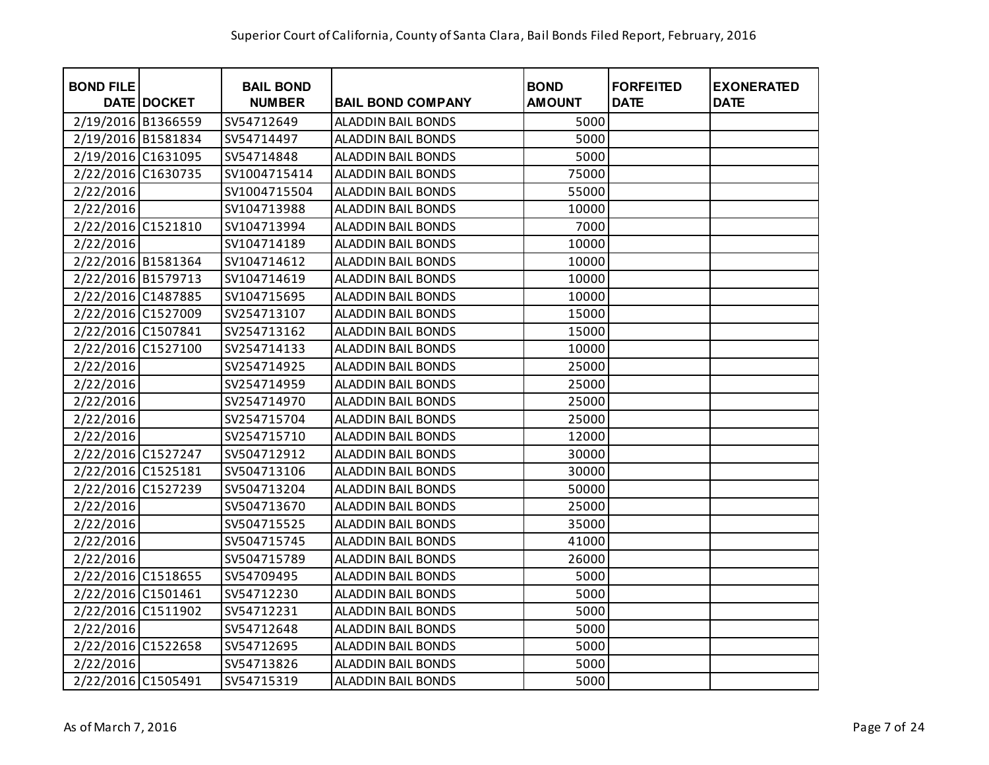| <b>BOND FILE</b>   | <b>DATE DOCKET</b> | <b>BAIL BOND</b><br><b>NUMBER</b> | <b>BAIL BOND COMPANY</b>  | <b>BOND</b><br><b>AMOUNT</b> | <b>FORFEITED</b><br><b>DATE</b> | <b>EXONERATED</b><br><b>DATE</b> |
|--------------------|--------------------|-----------------------------------|---------------------------|------------------------------|---------------------------------|----------------------------------|
| 2/19/2016 B1366559 |                    | SV54712649                        | <b>ALADDIN BAIL BONDS</b> | 5000                         |                                 |                                  |
| 2/19/2016 B1581834 |                    | SV54714497                        | <b>ALADDIN BAIL BONDS</b> | 5000                         |                                 |                                  |
| 2/19/2016 C1631095 |                    | SV54714848                        | <b>ALADDIN BAIL BONDS</b> | 5000                         |                                 |                                  |
| 2/22/2016 C1630735 |                    | SV1004715414                      | <b>ALADDIN BAIL BONDS</b> | 75000                        |                                 |                                  |
| 2/22/2016          |                    | SV1004715504                      | <b>ALADDIN BAIL BONDS</b> | 55000                        |                                 |                                  |
| 2/22/2016          |                    | SV104713988                       | <b>ALADDIN BAIL BONDS</b> | 10000                        |                                 |                                  |
| 2/22/2016 C1521810 |                    | SV104713994                       | ALADDIN BAIL BONDS        | 7000                         |                                 |                                  |
| 2/22/2016          |                    | SV104714189                       | <b>ALADDIN BAIL BONDS</b> | 10000                        |                                 |                                  |
| 2/22/2016 B1581364 |                    | SV104714612                       | ALADDIN BAIL BONDS        | 10000                        |                                 |                                  |
| 2/22/2016 B1579713 |                    | SV104714619                       | <b>ALADDIN BAIL BONDS</b> | 10000                        |                                 |                                  |
| 2/22/2016 C1487885 |                    | SV104715695                       | <b>ALADDIN BAIL BONDS</b> | 10000                        |                                 |                                  |
| 2/22/2016 C1527009 |                    | SV254713107                       | <b>ALADDIN BAIL BONDS</b> | 15000                        |                                 |                                  |
| 2/22/2016 C1507841 |                    | SV254713162                       | <b>ALADDIN BAIL BONDS</b> | 15000                        |                                 |                                  |
| 2/22/2016 C1527100 |                    | SV254714133                       | <b>ALADDIN BAIL BONDS</b> | 10000                        |                                 |                                  |
| 2/22/2016          |                    | SV254714925                       | ALADDIN BAIL BONDS        | 25000                        |                                 |                                  |
| 2/22/2016          |                    | SV254714959                       | <b>ALADDIN BAIL BONDS</b> | 25000                        |                                 |                                  |
| 2/22/2016          |                    | SV254714970                       | <b>ALADDIN BAIL BONDS</b> | 25000                        |                                 |                                  |
| 2/22/2016          |                    | SV254715704                       | ALADDIN BAIL BONDS        | 25000                        |                                 |                                  |
| 2/22/2016          |                    | SV254715710                       | ALADDIN BAIL BONDS        | 12000                        |                                 |                                  |
| 2/22/2016 C1527247 |                    | SV504712912                       | <b>ALADDIN BAIL BONDS</b> | 30000                        |                                 |                                  |
| 2/22/2016 C1525181 |                    | SV504713106                       | <b>ALADDIN BAIL BONDS</b> | 30000                        |                                 |                                  |
| 2/22/2016 C1527239 |                    | SV504713204                       | <b>ALADDIN BAIL BONDS</b> | 50000                        |                                 |                                  |
| 2/22/2016          |                    | SV504713670                       | <b>ALADDIN BAIL BONDS</b> | 25000                        |                                 |                                  |
| 2/22/2016          |                    | SV504715525                       | <b>ALADDIN BAIL BONDS</b> | 35000                        |                                 |                                  |
| 2/22/2016          |                    | SV504715745                       | ALADDIN BAIL BONDS        | 41000                        |                                 |                                  |
| 2/22/2016          |                    | SV504715789                       | <b>ALADDIN BAIL BONDS</b> | 26000                        |                                 |                                  |
| 2/22/2016 C1518655 |                    | SV54709495                        | <b>ALADDIN BAIL BONDS</b> | 5000                         |                                 |                                  |
| 2/22/2016 C1501461 |                    | SV54712230                        | ALADDIN BAIL BONDS        | 5000                         |                                 |                                  |
| 2/22/2016 C1511902 |                    | SV54712231                        | <b>ALADDIN BAIL BONDS</b> | 5000                         |                                 |                                  |
| 2/22/2016          |                    | SV54712648                        | <b>ALADDIN BAIL BONDS</b> | 5000                         |                                 |                                  |
| 2/22/2016 C1522658 |                    | SV54712695                        | <b>ALADDIN BAIL BONDS</b> | 5000                         |                                 |                                  |
| 2/22/2016          |                    | SV54713826                        | <b>ALADDIN BAIL BONDS</b> | 5000                         |                                 |                                  |
| 2/22/2016 C1505491 |                    | SV54715319                        | <b>ALADDIN BAIL BONDS</b> | 5000                         |                                 |                                  |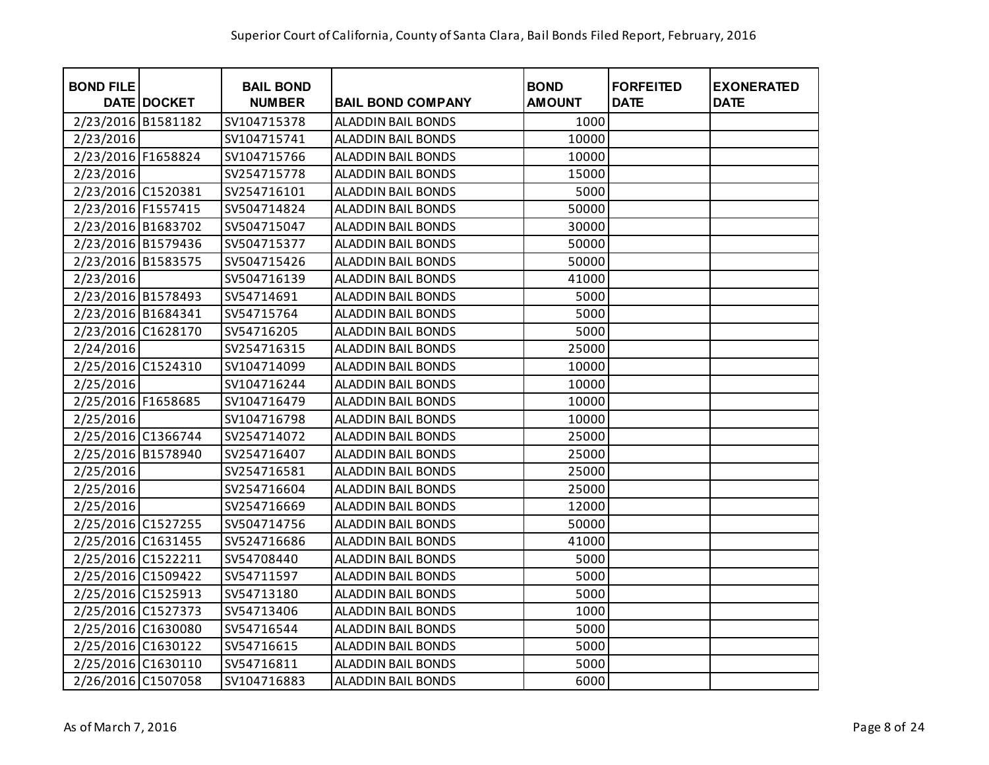| <b>BOND FILE</b>   | <b>DATE DOCKET</b> | <b>BAIL BOND</b><br><b>NUMBER</b> | <b>BAIL BOND COMPANY</b>  | <b>BOND</b><br><b>AMOUNT</b> | <b>FORFEITED</b><br><b>DATE</b> | <b>EXONERATED</b><br><b>DATE</b> |
|--------------------|--------------------|-----------------------------------|---------------------------|------------------------------|---------------------------------|----------------------------------|
| 2/23/2016 B1581182 |                    | SV104715378                       | <b>ALADDIN BAIL BONDS</b> | 1000                         |                                 |                                  |
| 2/23/2016          |                    | SV104715741                       | <b>ALADDIN BAIL BONDS</b> | 10000                        |                                 |                                  |
| 2/23/2016 F1658824 |                    | SV104715766                       | <b>ALADDIN BAIL BONDS</b> | 10000                        |                                 |                                  |
| 2/23/2016          |                    | SV254715778                       | <b>ALADDIN BAIL BONDS</b> | 15000                        |                                 |                                  |
| 2/23/2016 C1520381 |                    | SV254716101                       | <b>ALADDIN BAIL BONDS</b> | 5000                         |                                 |                                  |
| 2/23/2016 F1557415 |                    | SV504714824                       | <b>ALADDIN BAIL BONDS</b> | 50000                        |                                 |                                  |
| 2/23/2016 B1683702 |                    | SV504715047                       | <b>ALADDIN BAIL BONDS</b> | 30000                        |                                 |                                  |
| 2/23/2016 B1579436 |                    | SV504715377                       | <b>ALADDIN BAIL BONDS</b> | 50000                        |                                 |                                  |
| 2/23/2016 B1583575 |                    | SV504715426                       | <b>ALADDIN BAIL BONDS</b> | 50000                        |                                 |                                  |
| 2/23/2016          |                    | SV504716139                       | <b>ALADDIN BAIL BONDS</b> | 41000                        |                                 |                                  |
| 2/23/2016 B1578493 |                    | SV54714691                        | <b>ALADDIN BAIL BONDS</b> | 5000                         |                                 |                                  |
| 2/23/2016 B1684341 |                    | SV54715764                        | <b>ALADDIN BAIL BONDS</b> | 5000                         |                                 |                                  |
| 2/23/2016 C1628170 |                    | SV54716205                        | <b>ALADDIN BAIL BONDS</b> | 5000                         |                                 |                                  |
| 2/24/2016          |                    | SV254716315                       | <b>ALADDIN BAIL BONDS</b> | 25000                        |                                 |                                  |
| 2/25/2016 C1524310 |                    | SV104714099                       | <b>ALADDIN BAIL BONDS</b> | 10000                        |                                 |                                  |
| 2/25/2016          |                    | SV104716244                       | <b>ALADDIN BAIL BONDS</b> | 10000                        |                                 |                                  |
| 2/25/2016 F1658685 |                    | SV104716479                       | <b>ALADDIN BAIL BONDS</b> | 10000                        |                                 |                                  |
| 2/25/2016          |                    | SV104716798                       | <b>ALADDIN BAIL BONDS</b> | 10000                        |                                 |                                  |
| 2/25/2016 C1366744 |                    | SV254714072                       | <b>ALADDIN BAIL BONDS</b> | 25000                        |                                 |                                  |
| 2/25/2016 B1578940 |                    | SV254716407                       | <b>ALADDIN BAIL BONDS</b> | 25000                        |                                 |                                  |
| 2/25/2016          |                    | SV254716581                       | <b>ALADDIN BAIL BONDS</b> | 25000                        |                                 |                                  |
| 2/25/2016          |                    | SV254716604                       | <b>ALADDIN BAIL BONDS</b> | 25000                        |                                 |                                  |
| 2/25/2016          |                    | SV254716669                       | <b>ALADDIN BAIL BONDS</b> | 12000                        |                                 |                                  |
| 2/25/2016 C1527255 |                    | SV504714756                       | <b>ALADDIN BAIL BONDS</b> | 50000                        |                                 |                                  |
| 2/25/2016 C1631455 |                    | SV524716686                       | <b>ALADDIN BAIL BONDS</b> | 41000                        |                                 |                                  |
| 2/25/2016 C1522211 |                    | SV54708440                        | <b>ALADDIN BAIL BONDS</b> | 5000                         |                                 |                                  |
| 2/25/2016 C1509422 |                    | SV54711597                        | <b>ALADDIN BAIL BONDS</b> | 5000                         |                                 |                                  |
| 2/25/2016 C1525913 |                    | SV54713180                        | <b>ALADDIN BAIL BONDS</b> | 5000                         |                                 |                                  |
| 2/25/2016 C1527373 |                    | SV54713406                        | <b>ALADDIN BAIL BONDS</b> | 1000                         |                                 |                                  |
| 2/25/2016 C1630080 |                    | SV54716544                        | <b>ALADDIN BAIL BONDS</b> | 5000                         |                                 |                                  |
| 2/25/2016 C1630122 |                    | SV54716615                        | <b>ALADDIN BAIL BONDS</b> | 5000                         |                                 |                                  |
| 2/25/2016 C1630110 |                    | SV54716811                        | <b>ALADDIN BAIL BONDS</b> | 5000                         |                                 |                                  |
| 2/26/2016 C1507058 |                    | SV104716883                       | <b>ALADDIN BAIL BONDS</b> | 6000                         |                                 |                                  |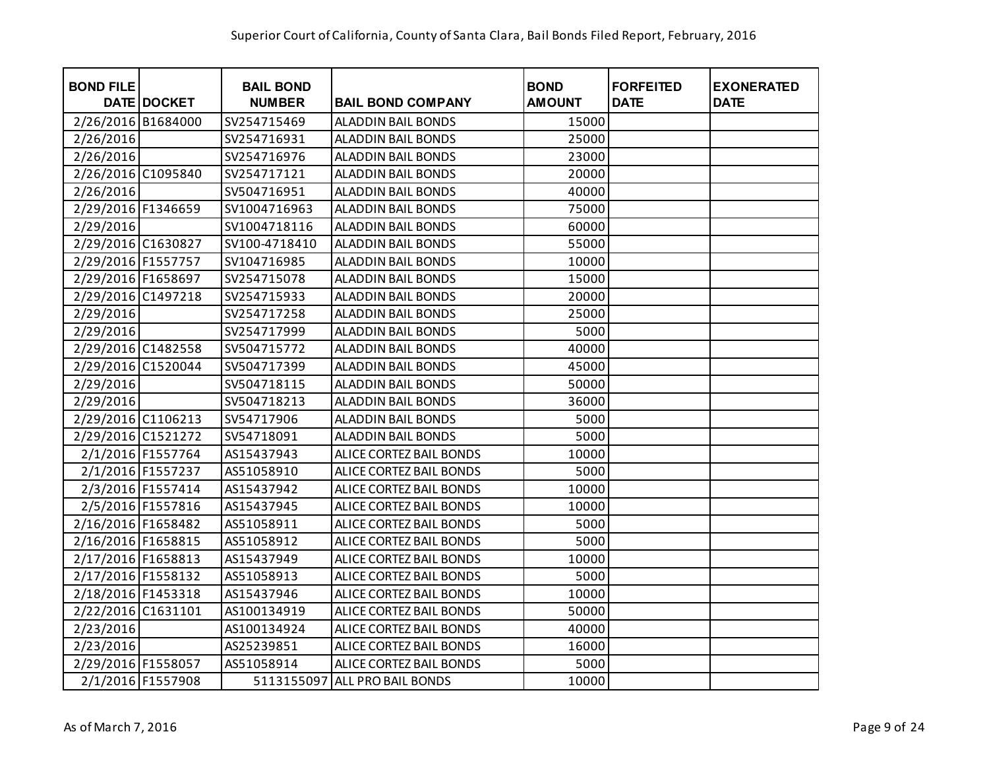| <b>BOND FILE</b>   | <b>DATE DOCKET</b> | <b>BAIL BOND</b><br><b>NUMBER</b> | <b>BAIL BOND COMPANY</b>  | <b>BOND</b><br><b>AMOUNT</b> | <b>FORFEITED</b><br><b>DATE</b> | <b>EXONERATED</b><br><b>DATE</b> |
|--------------------|--------------------|-----------------------------------|---------------------------|------------------------------|---------------------------------|----------------------------------|
| 2/26/2016 B1684000 |                    | SV254715469                       | <b>ALADDIN BAIL BONDS</b> | 15000                        |                                 |                                  |
| 2/26/2016          |                    | SV254716931                       | <b>ALADDIN BAIL BONDS</b> | 25000                        |                                 |                                  |
| 2/26/2016          |                    | SV254716976                       | <b>ALADDIN BAIL BONDS</b> | 23000                        |                                 |                                  |
| 2/26/2016 C1095840 |                    | SV254717121                       | <b>ALADDIN BAIL BONDS</b> | 20000                        |                                 |                                  |
| 2/26/2016          |                    | SV504716951                       | <b>ALADDIN BAIL BONDS</b> | 40000                        |                                 |                                  |
| 2/29/2016 F1346659 |                    | SV1004716963                      | <b>ALADDIN BAIL BONDS</b> | 75000                        |                                 |                                  |
| 2/29/2016          |                    | SV1004718116                      | ALADDIN BAIL BONDS        | 60000                        |                                 |                                  |
| 2/29/2016 C1630827 |                    | SV100-4718410                     | <b>ALADDIN BAIL BONDS</b> | 55000                        |                                 |                                  |
| 2/29/2016 F1557757 |                    | SV104716985                       | ALADDIN BAIL BONDS        | 10000                        |                                 |                                  |
| 2/29/2016 F1658697 |                    | SV254715078                       | <b>ALADDIN BAIL BONDS</b> | 15000                        |                                 |                                  |
| 2/29/2016 C1497218 |                    | SV254715933                       | <b>ALADDIN BAIL BONDS</b> | 20000                        |                                 |                                  |
| 2/29/2016          |                    | SV254717258                       | <b>ALADDIN BAIL BONDS</b> | 25000                        |                                 |                                  |
| 2/29/2016          |                    | SV254717999                       | <b>ALADDIN BAIL BONDS</b> | 5000                         |                                 |                                  |
| 2/29/2016 C1482558 |                    | SV504715772                       | <b>ALADDIN BAIL BONDS</b> | 40000                        |                                 |                                  |
| 2/29/2016 C1520044 |                    | SV504717399                       | ALADDIN BAIL BONDS        | 45000                        |                                 |                                  |
| 2/29/2016          |                    | SV504718115                       | <b>ALADDIN BAIL BONDS</b> | 50000                        |                                 |                                  |
| 2/29/2016          |                    | SV504718213                       | <b>ALADDIN BAIL BONDS</b> | 36000                        |                                 |                                  |
| 2/29/2016 C1106213 |                    | SV54717906                        | ALADDIN BAIL BONDS        | 5000                         |                                 |                                  |
| 2/29/2016 C1521272 |                    | SV54718091                        | ALADDIN BAIL BONDS        | 5000                         |                                 |                                  |
|                    | 2/1/2016 F1557764  | AS15437943                        | ALICE CORTEZ BAIL BONDS   | 10000                        |                                 |                                  |
|                    | 2/1/2016 F1557237  | AS51058910                        | ALICE CORTEZ BAIL BONDS   | 5000                         |                                 |                                  |
|                    | 2/3/2016 F1557414  | AS15437942                        | ALICE CORTEZ BAIL BONDS   | 10000                        |                                 |                                  |
|                    | 2/5/2016 F1557816  | AS15437945                        | ALICE CORTEZ BAIL BONDS   | 10000                        |                                 |                                  |
| 2/16/2016 F1658482 |                    | AS51058911                        | ALICE CORTEZ BAIL BONDS   | 5000                         |                                 |                                  |
| 2/16/2016 F1658815 |                    | AS51058912                        | ALICE CORTEZ BAIL BONDS   | 5000                         |                                 |                                  |
| 2/17/2016 F1658813 |                    | AS15437949                        | ALICE CORTEZ BAIL BONDS   | 10000                        |                                 |                                  |
| 2/17/2016 F1558132 |                    | AS51058913                        | ALICE CORTEZ BAIL BONDS   | 5000                         |                                 |                                  |
| 2/18/2016 F1453318 |                    | AS15437946                        | ALICE CORTEZ BAIL BONDS   | 10000                        |                                 |                                  |
| 2/22/2016 C1631101 |                    | AS100134919                       | ALICE CORTEZ BAIL BONDS   | 50000                        |                                 |                                  |
| 2/23/2016          |                    | AS100134924                       | ALICE CORTEZ BAIL BONDS   | 40000                        |                                 |                                  |
| 2/23/2016          |                    | AS25239851                        | ALICE CORTEZ BAIL BONDS   | 16000                        |                                 |                                  |
| 2/29/2016 F1558057 |                    | AS51058914                        | ALICE CORTEZ BAIL BONDS   | 5000                         |                                 |                                  |
|                    | 2/1/2016 F1557908  | 5113155097                        | <b>ALL PRO BAIL BONDS</b> | 10000                        |                                 |                                  |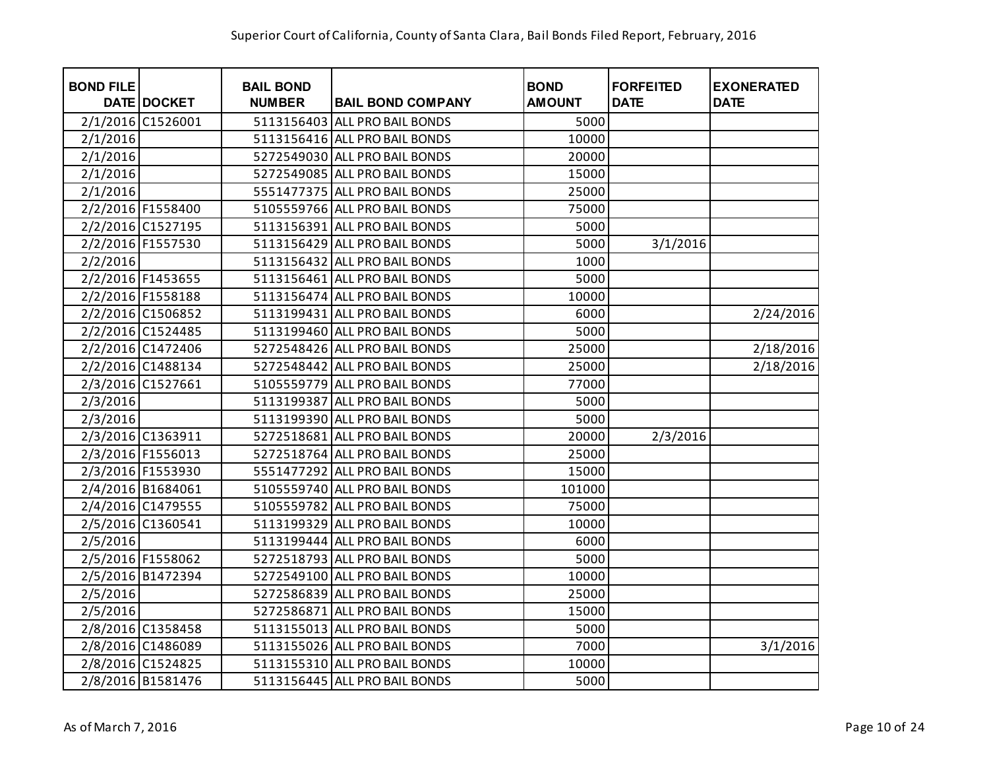| <b>BOND FILE</b> | DATE DOCKET       | <b>BAIL BOND</b><br><b>NUMBER</b> | <b>BAIL BOND COMPANY</b>      | <b>BOND</b><br><b>AMOUNT</b> | <b>FORFEITED</b><br><b>DATE</b> | <b>EXONERATED</b><br><b>DATE</b> |
|------------------|-------------------|-----------------------------------|-------------------------------|------------------------------|---------------------------------|----------------------------------|
|                  | 2/1/2016 C1526001 |                                   | 5113156403 ALL PRO BAIL BONDS | 5000                         |                                 |                                  |
| 2/1/2016         |                   |                                   | 5113156416 ALL PRO BAIL BONDS | 10000                        |                                 |                                  |
| 2/1/2016         |                   |                                   | 5272549030 ALL PRO BAIL BONDS | 20000                        |                                 |                                  |
| 2/1/2016         |                   |                                   | 5272549085 ALL PRO BAIL BONDS | 15000                        |                                 |                                  |
| 2/1/2016         |                   |                                   | 5551477375 ALL PRO BAIL BONDS | 25000                        |                                 |                                  |
|                  | 2/2/2016 F1558400 |                                   | 5105559766 ALL PRO BAIL BONDS | 75000                        |                                 |                                  |
|                  | 2/2/2016 C1527195 |                                   | 5113156391 ALL PRO BAIL BONDS | 5000                         |                                 |                                  |
|                  | 2/2/2016 F1557530 |                                   | 5113156429 ALL PRO BAIL BONDS | 5000                         | 3/1/2016                        |                                  |
| 2/2/2016         |                   |                                   | 5113156432 ALL PRO BAIL BONDS | 1000                         |                                 |                                  |
|                  | 2/2/2016 F1453655 |                                   | 5113156461 ALL PRO BAIL BONDS | 5000                         |                                 |                                  |
|                  | 2/2/2016 F1558188 |                                   | 5113156474 ALL PRO BAIL BONDS | 10000                        |                                 |                                  |
|                  | 2/2/2016 C1506852 |                                   | 5113199431 ALL PRO BAIL BONDS | 6000                         |                                 | 2/24/2016                        |
|                  | 2/2/2016 C1524485 |                                   | 5113199460 ALL PRO BAIL BONDS | 5000                         |                                 |                                  |
|                  | 2/2/2016 C1472406 |                                   | 5272548426 ALL PRO BAIL BONDS | 25000                        |                                 | 2/18/2016                        |
|                  | 2/2/2016 C1488134 |                                   | 5272548442 ALL PRO BAIL BONDS | 25000                        |                                 | 2/18/2016                        |
|                  | 2/3/2016 C1527661 |                                   | 5105559779 ALL PRO BAIL BONDS | 77000                        |                                 |                                  |
| 2/3/2016         |                   |                                   | 5113199387 ALL PRO BAIL BONDS | 5000                         |                                 |                                  |
| 2/3/2016         |                   |                                   | 5113199390 ALL PRO BAIL BONDS | 5000                         |                                 |                                  |
|                  | 2/3/2016 C1363911 |                                   | 5272518681 ALL PRO BAIL BONDS | 20000                        | 2/3/2016                        |                                  |
|                  | 2/3/2016 F1556013 |                                   | 5272518764 ALL PRO BAIL BONDS | 25000                        |                                 |                                  |
|                  | 2/3/2016 F1553930 |                                   | 5551477292 ALL PRO BAIL BONDS | 15000                        |                                 |                                  |
|                  | 2/4/2016 B1684061 |                                   | 5105559740 ALL PRO BAIL BONDS | 101000                       |                                 |                                  |
|                  | 2/4/2016 C1479555 |                                   | 5105559782 ALL PRO BAIL BONDS | 75000                        |                                 |                                  |
|                  | 2/5/2016 C1360541 |                                   | 5113199329 ALL PRO BAIL BONDS | 10000                        |                                 |                                  |
| 2/5/2016         |                   |                                   | 5113199444 ALL PRO BAIL BONDS | 6000                         |                                 |                                  |
|                  | 2/5/2016 F1558062 |                                   | 5272518793 ALL PRO BAIL BONDS | 5000                         |                                 |                                  |
|                  | 2/5/2016 B1472394 |                                   | 5272549100 ALL PRO BAIL BONDS | 10000                        |                                 |                                  |
| 2/5/2016         |                   |                                   | 5272586839 ALL PRO BAIL BONDS | 25000                        |                                 |                                  |
| 2/5/2016         |                   |                                   | 5272586871 ALL PRO BAIL BONDS | 15000                        |                                 |                                  |
|                  | 2/8/2016 C1358458 |                                   | 5113155013 ALL PRO BAIL BONDS | 5000                         |                                 |                                  |
|                  | 2/8/2016 C1486089 |                                   | 5113155026 ALL PRO BAIL BONDS | 7000                         |                                 | 3/1/2016                         |
|                  | 2/8/2016 C1524825 |                                   | 5113155310 ALL PRO BAIL BONDS | 10000                        |                                 |                                  |
|                  | 2/8/2016 B1581476 |                                   | 5113156445 ALL PRO BAIL BONDS | 5000                         |                                 |                                  |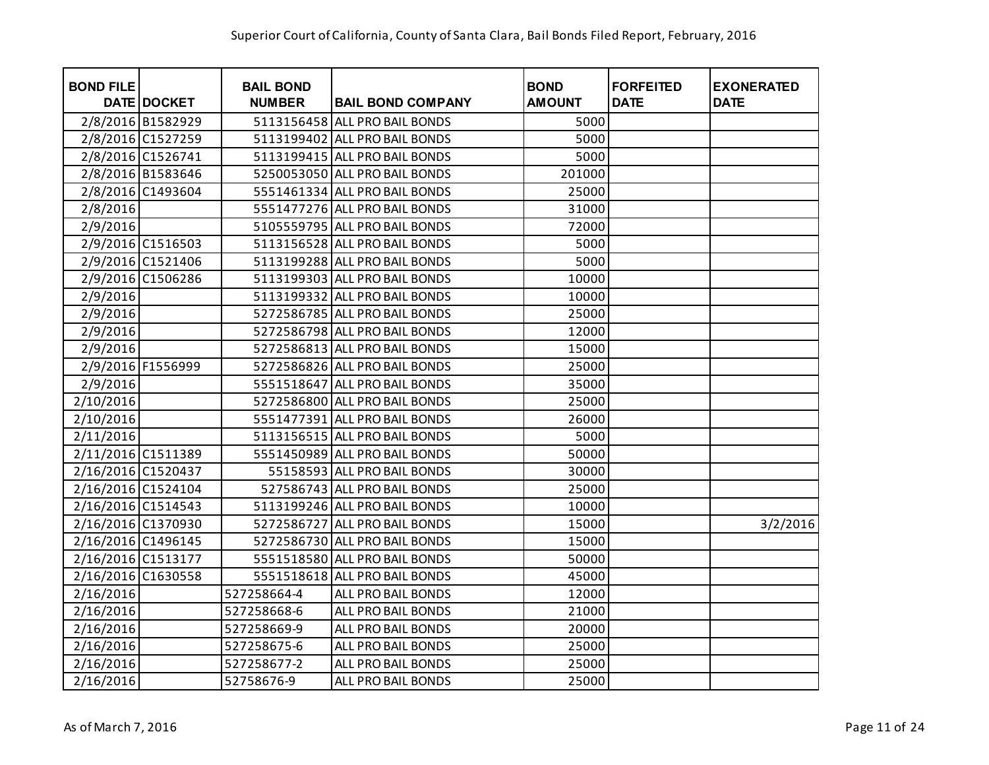| <b>BOND FILE</b>   | <b>DATE DOCKET</b> | <b>BAIL BOND</b><br><b>NUMBER</b> | <b>BAIL BOND COMPANY</b>      | <b>BOND</b><br><b>AMOUNT</b> | <b>FORFEITED</b><br><b>DATE</b> | <b>EXONERATED</b><br><b>DATE</b> |
|--------------------|--------------------|-----------------------------------|-------------------------------|------------------------------|---------------------------------|----------------------------------|
|                    | 2/8/2016 B1582929  |                                   | 5113156458 ALL PRO BAIL BONDS | 5000                         |                                 |                                  |
|                    | 2/8/2016 C1527259  |                                   | 5113199402 ALL PRO BAIL BONDS | 5000                         |                                 |                                  |
|                    | 2/8/2016 C1526741  |                                   | 5113199415 ALL PRO BAIL BONDS | 5000                         |                                 |                                  |
|                    | 2/8/2016 B1583646  |                                   | 5250053050 ALL PRO BAIL BONDS | 201000                       |                                 |                                  |
|                    | 2/8/2016 C1493604  |                                   | 5551461334 ALL PRO BAIL BONDS | 25000                        |                                 |                                  |
| 2/8/2016           |                    |                                   | 5551477276 ALL PRO BAIL BONDS | 31000                        |                                 |                                  |
| 2/9/2016           |                    |                                   | 5105559795 ALL PRO BAIL BONDS | 72000                        |                                 |                                  |
|                    | 2/9/2016 C1516503  |                                   | 5113156528 ALL PRO BAIL BONDS | 5000                         |                                 |                                  |
|                    | 2/9/2016 C1521406  |                                   | 5113199288 ALL PRO BAIL BONDS | 5000                         |                                 |                                  |
|                    | 2/9/2016 C1506286  |                                   | 5113199303 ALL PRO BAIL BONDS | 10000                        |                                 |                                  |
| 2/9/2016           |                    |                                   | 5113199332 ALL PRO BAIL BONDS | 10000                        |                                 |                                  |
| 2/9/2016           |                    |                                   | 5272586785 ALL PRO BAIL BONDS | 25000                        |                                 |                                  |
| 2/9/2016           |                    |                                   | 5272586798 ALL PRO BAIL BONDS | 12000                        |                                 |                                  |
| 2/9/2016           |                    |                                   | 5272586813 ALL PRO BAIL BONDS | 15000                        |                                 |                                  |
|                    | 2/9/2016 F1556999  |                                   | 5272586826 ALL PRO BAIL BONDS | 25000                        |                                 |                                  |
| 2/9/2016           |                    |                                   | 5551518647 ALL PRO BAIL BONDS | 35000                        |                                 |                                  |
| 2/10/2016          |                    |                                   | 5272586800 ALL PRO BAIL BONDS | 25000                        |                                 |                                  |
| 2/10/2016          |                    |                                   | 5551477391 ALL PRO BAIL BONDS | 26000                        |                                 |                                  |
| 2/11/2016          |                    |                                   | 5113156515 ALL PRO BAIL BONDS | 5000                         |                                 |                                  |
| 2/11/2016 C1511389 |                    |                                   | 5551450989 ALL PRO BAIL BONDS | 50000                        |                                 |                                  |
| 2/16/2016 C1520437 |                    |                                   | 55158593 ALL PRO BAIL BONDS   | 30000                        |                                 |                                  |
| 2/16/2016 C1524104 |                    |                                   | 527586743 ALL PRO BAIL BONDS  | 25000                        |                                 |                                  |
| 2/16/2016 C1514543 |                    |                                   | 5113199246 ALL PRO BAIL BONDS | 10000                        |                                 |                                  |
| 2/16/2016 C1370930 |                    |                                   | 5272586727 ALL PRO BAIL BONDS | 15000                        |                                 | 3/2/2016                         |
| 2/16/2016 C1496145 |                    |                                   | 5272586730 ALL PRO BAIL BONDS | 15000                        |                                 |                                  |
| 2/16/2016 C1513177 |                    |                                   | 5551518580 ALL PRO BAIL BONDS | 50000                        |                                 |                                  |
| 2/16/2016 C1630558 |                    |                                   | 5551518618 ALL PRO BAIL BONDS | 45000                        |                                 |                                  |
| 2/16/2016          |                    | 527258664-4                       | ALL PRO BAIL BONDS            | 12000                        |                                 |                                  |
| 2/16/2016          |                    | 527258668-6                       | ALL PRO BAIL BONDS            | 21000                        |                                 |                                  |
| 2/16/2016          |                    | 527258669-9                       | ALL PRO BAIL BONDS            | 20000                        |                                 |                                  |
| 2/16/2016          |                    | 527258675-6                       | ALL PRO BAIL BONDS            | 25000                        |                                 |                                  |
| 2/16/2016          |                    | 527258677-2                       | ALL PRO BAIL BONDS            | 25000                        |                                 |                                  |
| 2/16/2016          |                    | 52758676-9                        | ALL PRO BAIL BONDS            | 25000                        |                                 |                                  |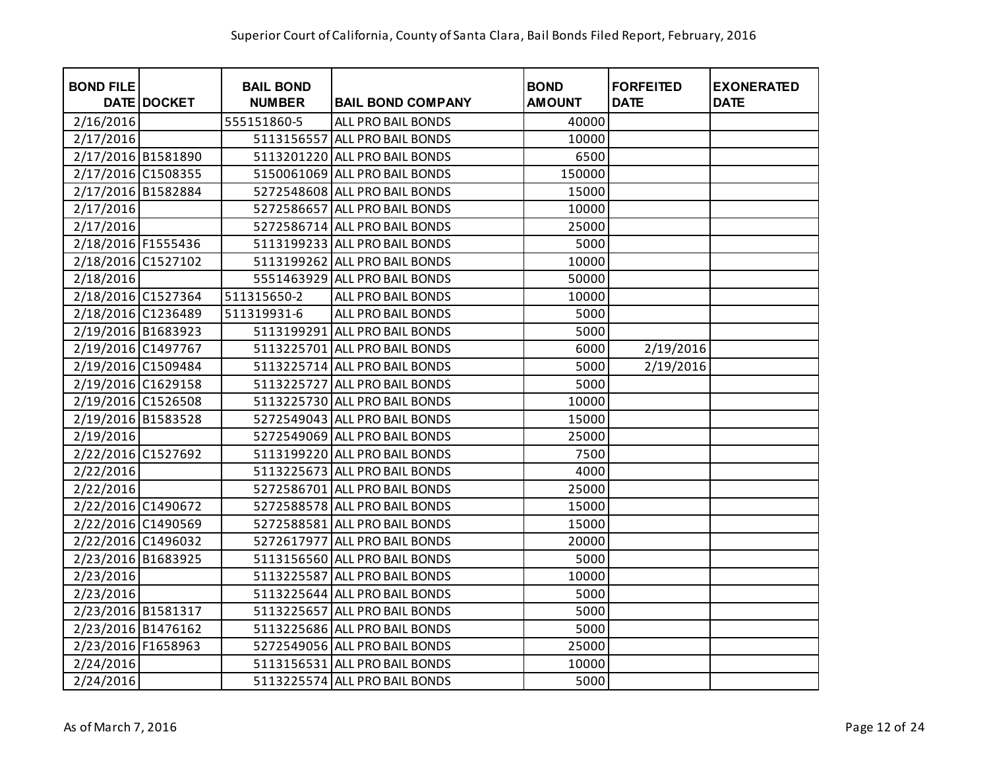| <b>BOND FILE</b>   | DATE DOCKET | <b>BAIL BOND</b><br><b>NUMBER</b> | <b>BAIL BOND COMPANY</b>      | <b>BOND</b><br><b>AMOUNT</b> | <b>FORFEITED</b><br><b>DATE</b> | <b>EXONERATED</b><br><b>DATE</b> |
|--------------------|-------------|-----------------------------------|-------------------------------|------------------------------|---------------------------------|----------------------------------|
| 2/16/2016          |             | 555151860-5                       | ALL PRO BAIL BONDS            | 40000                        |                                 |                                  |
| 2/17/2016          |             |                                   | 5113156557 ALL PRO BAIL BONDS | 10000                        |                                 |                                  |
| 2/17/2016 B1581890 |             |                                   | 5113201220 ALL PRO BAIL BONDS | 6500                         |                                 |                                  |
| 2/17/2016 C1508355 |             |                                   | 5150061069 ALL PRO BAIL BONDS | 150000                       |                                 |                                  |
| 2/17/2016 B1582884 |             |                                   | 5272548608 ALL PRO BAIL BONDS | 15000                        |                                 |                                  |
| 2/17/2016          |             |                                   | 5272586657 ALL PRO BAIL BONDS | 10000                        |                                 |                                  |
| 2/17/2016          |             |                                   | 5272586714 ALL PRO BAIL BONDS | 25000                        |                                 |                                  |
| 2/18/2016 F1555436 |             |                                   | 5113199233 ALL PRO BAIL BONDS | 5000                         |                                 |                                  |
| 2/18/2016 C1527102 |             |                                   | 5113199262 ALL PRO BAIL BONDS | 10000                        |                                 |                                  |
| 2/18/2016          |             |                                   | 5551463929 ALL PRO BAIL BONDS | 50000                        |                                 |                                  |
| 2/18/2016 C1527364 |             | 511315650-2                       | ALL PRO BAIL BONDS            | 10000                        |                                 |                                  |
| 2/18/2016 C1236489 |             | 511319931-6                       | ALL PRO BAIL BONDS            | 5000                         |                                 |                                  |
| 2/19/2016 B1683923 |             |                                   | 5113199291 ALL PRO BAIL BONDS | 5000                         |                                 |                                  |
| 2/19/2016 C1497767 |             |                                   | 5113225701 ALL PRO BAIL BONDS | 6000                         | 2/19/2016                       |                                  |
| 2/19/2016 C1509484 |             |                                   | 5113225714 ALL PRO BAIL BONDS | 5000                         | 2/19/2016                       |                                  |
| 2/19/2016 C1629158 |             |                                   | 5113225727 ALL PRO BAIL BONDS | 5000                         |                                 |                                  |
| 2/19/2016 C1526508 |             |                                   | 5113225730 ALL PRO BAIL BONDS | 10000                        |                                 |                                  |
| 2/19/2016 B1583528 |             |                                   | 5272549043 ALL PRO BAIL BONDS | 15000                        |                                 |                                  |
| 2/19/2016          |             |                                   | 5272549069 ALL PRO BAIL BONDS | 25000                        |                                 |                                  |
| 2/22/2016 C1527692 |             |                                   | 5113199220 ALL PRO BAIL BONDS | 7500                         |                                 |                                  |
| 2/22/2016          |             |                                   | 5113225673 ALL PRO BAIL BONDS | 4000                         |                                 |                                  |
| 2/22/2016          |             |                                   | 5272586701 ALL PRO BAIL BONDS | 25000                        |                                 |                                  |
| 2/22/2016 C1490672 |             |                                   | 5272588578 ALL PRO BAIL BONDS | 15000                        |                                 |                                  |
| 2/22/2016 C1490569 |             |                                   | 5272588581 ALL PRO BAIL BONDS | 15000                        |                                 |                                  |
| 2/22/2016 C1496032 |             |                                   | 5272617977 ALL PRO BAIL BONDS | 20000                        |                                 |                                  |
| 2/23/2016 B1683925 |             |                                   | 5113156560 ALL PRO BAIL BONDS | 5000                         |                                 |                                  |
| 2/23/2016          |             |                                   | 5113225587 ALL PRO BAIL BONDS | 10000                        |                                 |                                  |
| 2/23/2016          |             |                                   | 5113225644 ALL PRO BAIL BONDS | 5000                         |                                 |                                  |
| 2/23/2016 B1581317 |             |                                   | 5113225657 ALL PRO BAIL BONDS | 5000                         |                                 |                                  |
| 2/23/2016 B1476162 |             |                                   | 5113225686 ALL PRO BAIL BONDS | 5000                         |                                 |                                  |
| 2/23/2016 F1658963 |             |                                   | 5272549056 ALL PRO BAIL BONDS | 25000                        |                                 |                                  |
| 2/24/2016          |             |                                   | 5113156531 ALL PRO BAIL BONDS | 10000                        |                                 |                                  |
| 2/24/2016          |             |                                   | 5113225574 ALL PRO BAIL BONDS | 5000                         |                                 |                                  |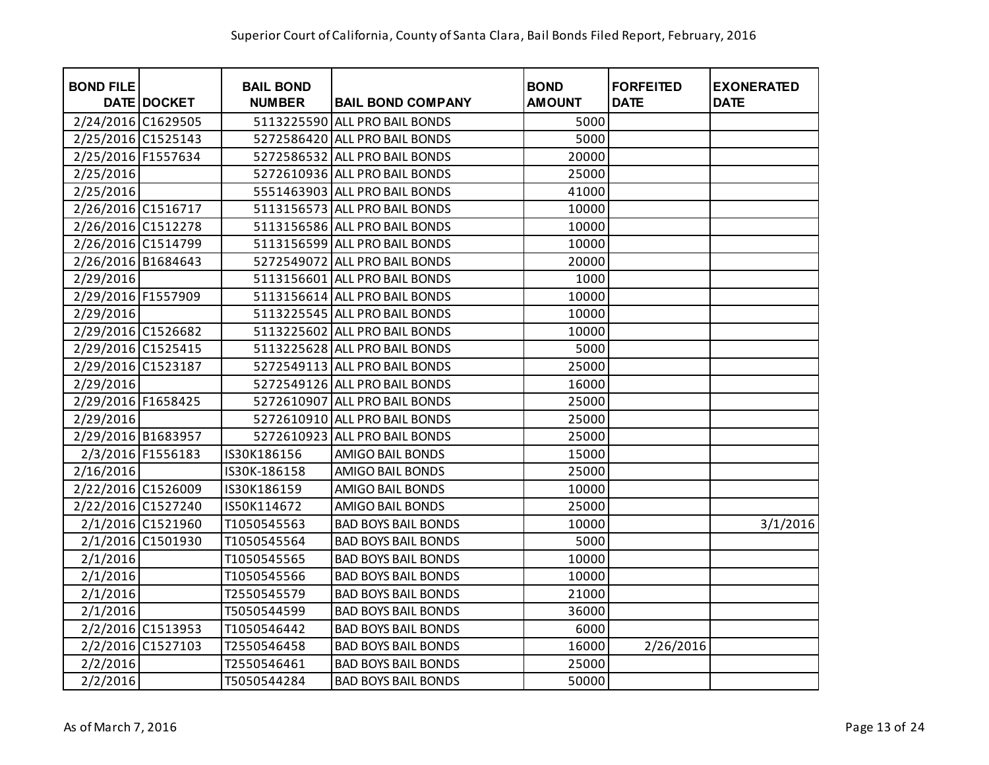| <b>BOND FILE</b>   | <b>DATE DOCKET</b> | <b>BAIL BOND</b><br><b>NUMBER</b> | <b>BAIL BOND COMPANY</b>      | <b>BOND</b><br><b>AMOUNT</b> | <b>FORFEITED</b><br><b>DATE</b> | <b>EXONERATED</b><br><b>DATE</b> |
|--------------------|--------------------|-----------------------------------|-------------------------------|------------------------------|---------------------------------|----------------------------------|
| 2/24/2016 C1629505 |                    |                                   | 5113225590 ALL PRO BAIL BONDS | 5000                         |                                 |                                  |
| 2/25/2016 C1525143 |                    |                                   | 5272586420 ALL PRO BAIL BONDS | 5000                         |                                 |                                  |
| 2/25/2016 F1557634 |                    |                                   | 5272586532 ALL PRO BAIL BONDS | 20000                        |                                 |                                  |
| 2/25/2016          |                    |                                   | 5272610936 ALL PRO BAIL BONDS | 25000                        |                                 |                                  |
| 2/25/2016          |                    |                                   | 5551463903 ALL PRO BAIL BONDS | 41000                        |                                 |                                  |
| 2/26/2016 C1516717 |                    |                                   | 5113156573 ALL PRO BAIL BONDS | 10000                        |                                 |                                  |
| 2/26/2016 C1512278 |                    |                                   | 5113156586 ALL PRO BAIL BONDS | 10000                        |                                 |                                  |
| 2/26/2016 C1514799 |                    |                                   | 5113156599 ALL PRO BAIL BONDS | 10000                        |                                 |                                  |
| 2/26/2016 B1684643 |                    |                                   | 5272549072 ALL PRO BAIL BONDS | 20000                        |                                 |                                  |
| 2/29/2016          |                    |                                   | 5113156601 ALL PRO BAIL BONDS | 1000                         |                                 |                                  |
| 2/29/2016 F1557909 |                    |                                   | 5113156614 ALL PRO BAIL BONDS | 10000                        |                                 |                                  |
| 2/29/2016          |                    |                                   | 5113225545 ALL PRO BAIL BONDS | 10000                        |                                 |                                  |
| 2/29/2016 C1526682 |                    |                                   | 5113225602 ALL PRO BAIL BONDS | 10000                        |                                 |                                  |
| 2/29/2016 C1525415 |                    |                                   | 5113225628 ALL PRO BAIL BONDS | 5000                         |                                 |                                  |
| 2/29/2016 C1523187 |                    |                                   | 5272549113 ALL PRO BAIL BONDS | 25000                        |                                 |                                  |
| 2/29/2016          |                    |                                   | 5272549126 ALL PRO BAIL BONDS | 16000                        |                                 |                                  |
| 2/29/2016 F1658425 |                    |                                   | 5272610907 ALL PRO BAIL BONDS | 25000                        |                                 |                                  |
| 2/29/2016          |                    |                                   | 5272610910 ALL PRO BAIL BONDS | 25000                        |                                 |                                  |
| 2/29/2016 B1683957 |                    |                                   | 5272610923 ALL PRO BAIL BONDS | 25000                        |                                 |                                  |
|                    | 2/3/2016 F1556183  | IS30K186156                       | <b>AMIGO BAIL BONDS</b>       | 15000                        |                                 |                                  |
| 2/16/2016          |                    | IS30K-186158                      | AMIGO BAIL BONDS              | 25000                        |                                 |                                  |
| 2/22/2016 C1526009 |                    | IS30K186159                       | <b>AMIGO BAIL BONDS</b>       | 10000                        |                                 |                                  |
| 2/22/2016 C1527240 |                    | IS50K114672                       | <b>AMIGO BAIL BONDS</b>       | 25000                        |                                 |                                  |
|                    | 2/1/2016 C1521960  | T1050545563                       | <b>BAD BOYS BAIL BONDS</b>    | 10000                        |                                 | 3/1/2016                         |
|                    | 2/1/2016 C1501930  | T1050545564                       | <b>BAD BOYS BAIL BONDS</b>    | 5000                         |                                 |                                  |
| 2/1/2016           |                    | T1050545565                       | <b>BAD BOYS BAIL BONDS</b>    | 10000                        |                                 |                                  |
| 2/1/2016           |                    | T1050545566                       | <b>BAD BOYS BAIL BONDS</b>    | 10000                        |                                 |                                  |
| 2/1/2016           |                    | T2550545579                       | <b>BAD BOYS BAIL BONDS</b>    | 21000                        |                                 |                                  |
| 2/1/2016           |                    | T5050544599                       | <b>BAD BOYS BAIL BONDS</b>    | 36000                        |                                 |                                  |
|                    | 2/2/2016 C1513953  | T1050546442                       | <b>BAD BOYS BAIL BONDS</b>    | 6000                         |                                 |                                  |
|                    | 2/2/2016 C1527103  | T2550546458                       | <b>BAD BOYS BAIL BONDS</b>    | 16000                        | 2/26/2016                       |                                  |
| 2/2/2016           |                    | T2550546461                       | <b>BAD BOYS BAIL BONDS</b>    | 25000                        |                                 |                                  |
| 2/2/2016           |                    | T5050544284                       | <b>BAD BOYS BAIL BONDS</b>    | 50000                        |                                 |                                  |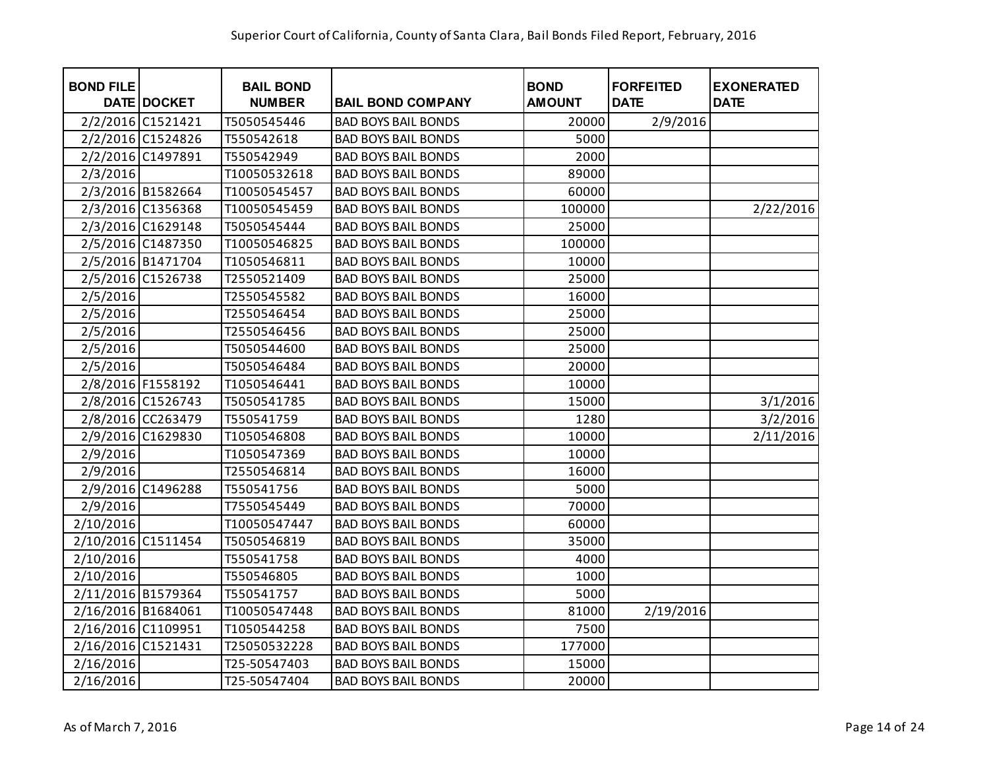| <b>BOND FILE</b>   | <b>DATE DOCKET</b> | <b>BAIL BOND</b><br><b>NUMBER</b> | <b>BAIL BOND COMPANY</b>   | <b>BOND</b><br><b>AMOUNT</b> | <b>FORFEITED</b><br><b>DATE</b> | <b>EXONERATED</b><br><b>DATE</b> |
|--------------------|--------------------|-----------------------------------|----------------------------|------------------------------|---------------------------------|----------------------------------|
|                    | 2/2/2016 C1521421  | T5050545446                       | <b>BAD BOYS BAIL BONDS</b> | 20000                        | 2/9/2016                        |                                  |
|                    | 2/2/2016 C1524826  | T550542618                        | <b>BAD BOYS BAIL BONDS</b> | 5000                         |                                 |                                  |
|                    | 2/2/2016 C1497891  | T550542949                        | <b>BAD BOYS BAIL BONDS</b> | 2000                         |                                 |                                  |
| 2/3/2016           |                    | T10050532618                      | <b>BAD BOYS BAIL BONDS</b> | 89000                        |                                 |                                  |
|                    | 2/3/2016 B1582664  | T10050545457                      | <b>BAD BOYS BAIL BONDS</b> | 60000                        |                                 |                                  |
|                    | 2/3/2016 C1356368  | T10050545459                      | <b>BAD BOYS BAIL BONDS</b> | 100000                       |                                 | 2/22/2016                        |
|                    | 2/3/2016 C1629148  | T5050545444                       | <b>BAD BOYS BAIL BONDS</b> | 25000                        |                                 |                                  |
|                    | 2/5/2016 C1487350  | T10050546825                      | <b>BAD BOYS BAIL BONDS</b> | 100000                       |                                 |                                  |
|                    | 2/5/2016 B1471704  | T1050546811                       | <b>BAD BOYS BAIL BONDS</b> | 10000                        |                                 |                                  |
|                    | 2/5/2016 C1526738  | T2550521409                       | <b>BAD BOYS BAIL BONDS</b> | 25000                        |                                 |                                  |
| 2/5/2016           |                    | T2550545582                       | <b>BAD BOYS BAIL BONDS</b> | 16000                        |                                 |                                  |
| 2/5/2016           |                    | T2550546454                       | <b>BAD BOYS BAIL BONDS</b> | 25000                        |                                 |                                  |
| 2/5/2016           |                    | T2550546456                       | <b>BAD BOYS BAIL BONDS</b> | 25000                        |                                 |                                  |
| 2/5/2016           |                    | T5050544600                       | <b>BAD BOYS BAIL BONDS</b> | 25000                        |                                 |                                  |
| 2/5/2016           |                    | T5050546484                       | <b>BAD BOYS BAIL BONDS</b> | 20000                        |                                 |                                  |
|                    | 2/8/2016 F1558192  | T1050546441                       | <b>BAD BOYS BAIL BONDS</b> | 10000                        |                                 |                                  |
|                    | 2/8/2016 C1526743  | T5050541785                       | <b>BAD BOYS BAIL BONDS</b> | 15000                        |                                 | 3/1/2016                         |
|                    | 2/8/2016 CC263479  | T550541759                        | <b>BAD BOYS BAIL BONDS</b> | 1280                         |                                 | 3/2/2016                         |
|                    | 2/9/2016 C1629830  | T1050546808                       | <b>BAD BOYS BAIL BONDS</b> | 10000                        |                                 | 2/11/2016                        |
| 2/9/2016           |                    | T1050547369                       | <b>BAD BOYS BAIL BONDS</b> | 10000                        |                                 |                                  |
| 2/9/2016           |                    | T2550546814                       | <b>BAD BOYS BAIL BONDS</b> | 16000                        |                                 |                                  |
|                    | 2/9/2016 C1496288  | T550541756                        | <b>BAD BOYS BAIL BONDS</b> | 5000                         |                                 |                                  |
| 2/9/2016           |                    | T7550545449                       | <b>BAD BOYS BAIL BONDS</b> | 70000                        |                                 |                                  |
| 2/10/2016          |                    | T10050547447                      | <b>BAD BOYS BAIL BONDS</b> | 60000                        |                                 |                                  |
| 2/10/2016 C1511454 |                    | T5050546819                       | <b>BAD BOYS BAIL BONDS</b> | 35000                        |                                 |                                  |
| 2/10/2016          |                    | T550541758                        | <b>BAD BOYS BAIL BONDS</b> | 4000                         |                                 |                                  |
| 2/10/2016          |                    | T550546805                        | <b>BAD BOYS BAIL BONDS</b> | 1000                         |                                 |                                  |
| 2/11/2016 B1579364 |                    | T550541757                        | <b>BAD BOYS BAIL BONDS</b> | 5000                         |                                 |                                  |
| 2/16/2016 B1684061 |                    | T10050547448                      | <b>BAD BOYS BAIL BONDS</b> | 81000                        | 2/19/2016                       |                                  |
| 2/16/2016 C1109951 |                    | T1050544258                       | <b>BAD BOYS BAIL BONDS</b> | 7500                         |                                 |                                  |
| 2/16/2016 C1521431 |                    | T25050532228                      | <b>BAD BOYS BAIL BONDS</b> | 177000                       |                                 |                                  |
| 2/16/2016          |                    | T25-50547403                      | <b>BAD BOYS BAIL BONDS</b> | 15000                        |                                 |                                  |
| 2/16/2016          |                    | T25-50547404                      | <b>BAD BOYS BAIL BONDS</b> | 20000                        |                                 |                                  |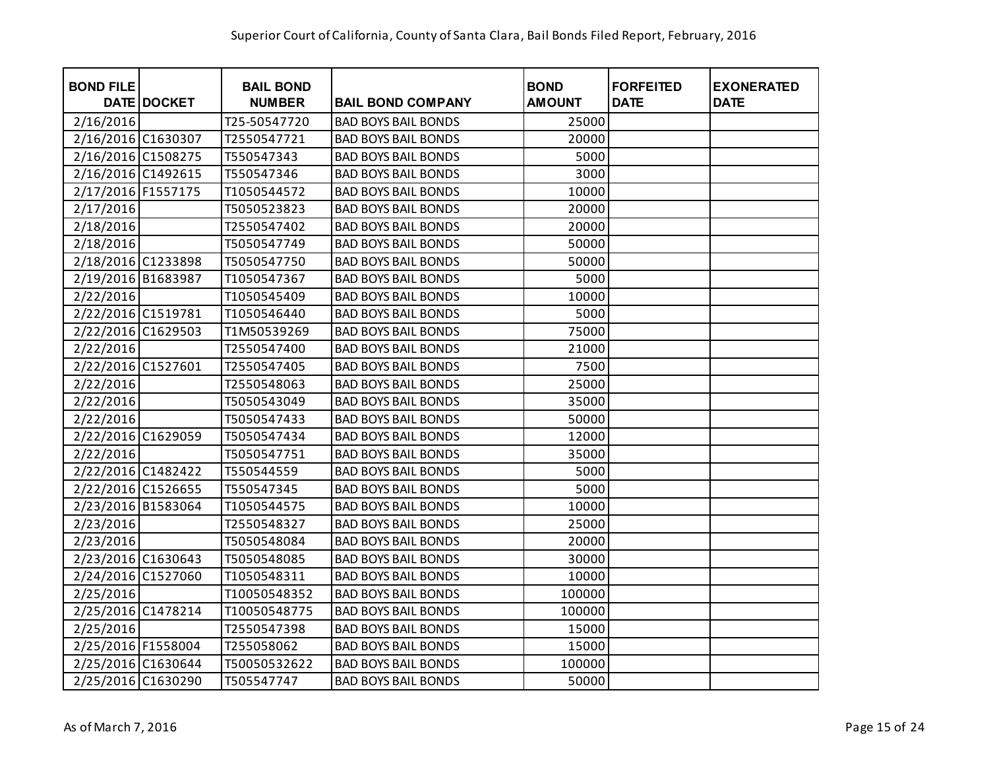| <b>BOND FILE</b>   | DATE DOCKET | <b>BAIL BOND</b><br><b>NUMBER</b> | <b>BAIL BOND COMPANY</b>   | <b>BOND</b><br><b>AMOUNT</b> | <b>FORFEITED</b><br><b>DATE</b> | <b>EXONERATED</b><br><b>DATE</b> |
|--------------------|-------------|-----------------------------------|----------------------------|------------------------------|---------------------------------|----------------------------------|
| 2/16/2016          |             | T25-50547720                      | <b>BAD BOYS BAIL BONDS</b> | 25000                        |                                 |                                  |
| 2/16/2016 C1630307 |             | T2550547721                       | <b>BAD BOYS BAIL BONDS</b> | 20000                        |                                 |                                  |
| 2/16/2016 C1508275 |             | T550547343                        | <b>BAD BOYS BAIL BONDS</b> | 5000                         |                                 |                                  |
| 2/16/2016 C1492615 |             | T550547346                        | <b>BAD BOYS BAIL BONDS</b> | 3000                         |                                 |                                  |
| 2/17/2016 F1557175 |             | T1050544572                       | <b>BAD BOYS BAIL BONDS</b> | 10000                        |                                 |                                  |
| 2/17/2016          |             | T5050523823                       | <b>BAD BOYS BAIL BONDS</b> | 20000                        |                                 |                                  |
| 2/18/2016          |             | T2550547402                       | <b>BAD BOYS BAIL BONDS</b> | 20000                        |                                 |                                  |
| 2/18/2016          |             | T5050547749                       | <b>BAD BOYS BAIL BONDS</b> | 50000                        |                                 |                                  |
| 2/18/2016 C1233898 |             | T5050547750                       | <b>BAD BOYS BAIL BONDS</b> | 50000                        |                                 |                                  |
| 2/19/2016 B1683987 |             | T1050547367                       | <b>BAD BOYS BAIL BONDS</b> | 5000                         |                                 |                                  |
| 2/22/2016          |             | T1050545409                       | <b>BAD BOYS BAIL BONDS</b> | 10000                        |                                 |                                  |
| 2/22/2016 C1519781 |             | T1050546440                       | <b>BAD BOYS BAIL BONDS</b> | 5000                         |                                 |                                  |
| 2/22/2016 C1629503 |             | T1M50539269                       | <b>BAD BOYS BAIL BONDS</b> | 75000                        |                                 |                                  |
| 2/22/2016          |             | T2550547400                       | <b>BAD BOYS BAIL BONDS</b> | 21000                        |                                 |                                  |
| 2/22/2016 C1527601 |             | T2550547405                       | <b>BAD BOYS BAIL BONDS</b> | 7500                         |                                 |                                  |
| 2/22/2016          |             | T2550548063                       | <b>BAD BOYS BAIL BONDS</b> | 25000                        |                                 |                                  |
| 2/22/2016          |             | T5050543049                       | <b>BAD BOYS BAIL BONDS</b> | 35000                        |                                 |                                  |
| 2/22/2016          |             | T5050547433                       | <b>BAD BOYS BAIL BONDS</b> | 50000                        |                                 |                                  |
| 2/22/2016 C1629059 |             | T5050547434                       | <b>BAD BOYS BAIL BONDS</b> | 12000                        |                                 |                                  |
| 2/22/2016          |             | T5050547751                       | <b>BAD BOYS BAIL BONDS</b> | 35000                        |                                 |                                  |
| 2/22/2016 C1482422 |             | T550544559                        | <b>BAD BOYS BAIL BONDS</b> | 5000                         |                                 |                                  |
| 2/22/2016 C1526655 |             | T550547345                        | <b>BAD BOYS BAIL BONDS</b> | 5000                         |                                 |                                  |
| 2/23/2016 B1583064 |             | T1050544575                       | <b>BAD BOYS BAIL BONDS</b> | 10000                        |                                 |                                  |
| 2/23/2016          |             | T2550548327                       | <b>BAD BOYS BAIL BONDS</b> | 25000                        |                                 |                                  |
| 2/23/2016          |             | T5050548084                       | <b>BAD BOYS BAIL BONDS</b> | 20000                        |                                 |                                  |
| 2/23/2016 C1630643 |             | T5050548085                       | <b>BAD BOYS BAIL BONDS</b> | 30000                        |                                 |                                  |
| 2/24/2016 C1527060 |             | T1050548311                       | <b>BAD BOYS BAIL BONDS</b> | 10000                        |                                 |                                  |
| 2/25/2016          |             | T10050548352                      | <b>BAD BOYS BAIL BONDS</b> | 100000                       |                                 |                                  |
| 2/25/2016 C1478214 |             | T10050548775                      | <b>BAD BOYS BAIL BONDS</b> | 100000                       |                                 |                                  |
| 2/25/2016          |             | T2550547398                       | <b>BAD BOYS BAIL BONDS</b> | 15000                        |                                 |                                  |
| 2/25/2016 F1558004 |             | T255058062                        | <b>BAD BOYS BAIL BONDS</b> | 15000                        |                                 |                                  |
| 2/25/2016 C1630644 |             | T50050532622                      | <b>BAD BOYS BAIL BONDS</b> | 100000                       |                                 |                                  |
| 2/25/2016 C1630290 |             | T505547747                        | <b>BAD BOYS BAIL BONDS</b> | 50000                        |                                 |                                  |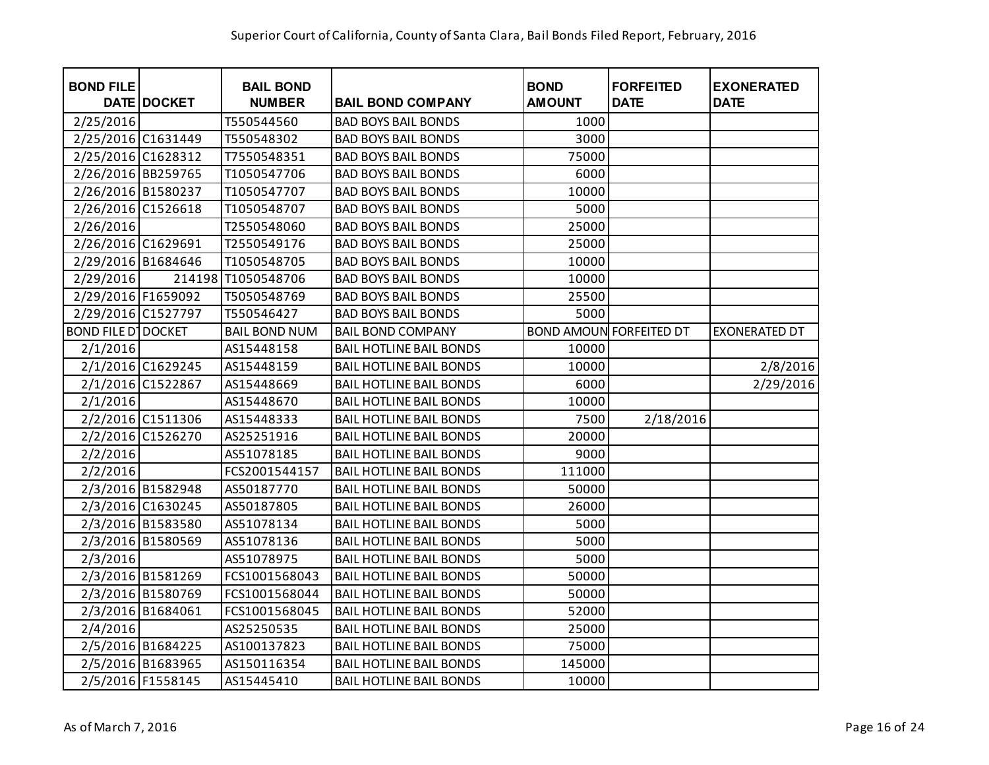| <b>BOND FILE</b>          | <b>DATE DOCKET</b> | <b>BAIL BOND</b><br><b>NUMBER</b> | <b>BAIL BOND COMPANY</b>       | <b>BOND</b><br><b>AMOUNT</b> | <b>FORFEITED</b><br><b>DATE</b> | <b>EXONERATED</b><br><b>DATE</b> |
|---------------------------|--------------------|-----------------------------------|--------------------------------|------------------------------|---------------------------------|----------------------------------|
| 2/25/2016                 |                    | T550544560                        | <b>BAD BOYS BAIL BONDS</b>     | 1000                         |                                 |                                  |
| 2/25/2016 C1631449        |                    | T550548302                        | <b>BAD BOYS BAIL BONDS</b>     | 3000                         |                                 |                                  |
| 2/25/2016 C1628312        |                    | T7550548351                       | <b>BAD BOYS BAIL BONDS</b>     | 75000                        |                                 |                                  |
| 2/26/2016 BB259765        |                    | T1050547706                       | <b>BAD BOYS BAIL BONDS</b>     | 6000                         |                                 |                                  |
| 2/26/2016 B1580237        |                    | T1050547707                       | <b>BAD BOYS BAIL BONDS</b>     | 10000                        |                                 |                                  |
| 2/26/2016 C1526618        |                    | T1050548707                       | <b>BAD BOYS BAIL BONDS</b>     | 5000                         |                                 |                                  |
| 2/26/2016                 |                    | T2550548060                       | <b>BAD BOYS BAIL BONDS</b>     | 25000                        |                                 |                                  |
| 2/26/2016 C1629691        |                    | T2550549176                       | <b>BAD BOYS BAIL BONDS</b>     | 25000                        |                                 |                                  |
| 2/29/2016 B1684646        |                    | T1050548705                       | <b>BAD BOYS BAIL BONDS</b>     | 10000                        |                                 |                                  |
| 2/29/2016                 |                    | 214198 T1050548706                | <b>BAD BOYS BAIL BONDS</b>     | 10000                        |                                 |                                  |
| 2/29/2016 F1659092        |                    | T5050548769                       | <b>BAD BOYS BAIL BONDS</b>     | 25500                        |                                 |                                  |
| 2/29/2016 C1527797        |                    | T550546427                        | <b>BAD BOYS BAIL BONDS</b>     | 5000                         |                                 |                                  |
| <b>BOND FILE D DOCKET</b> |                    | <b>BAIL BOND NUM</b>              | <b>BAIL BOND COMPANY</b>       |                              | <b>BOND AMOUN FORFEITED DT</b>  | <b>EXONERATED DT</b>             |
| 2/1/2016                  |                    | AS15448158                        | <b>BAIL HOTLINE BAIL BONDS</b> | 10000                        |                                 |                                  |
|                           | 2/1/2016 C1629245  | AS15448159                        | <b>BAIL HOTLINE BAIL BONDS</b> | 10000                        |                                 | 2/8/2016                         |
|                           | 2/1/2016 C1522867  | AS15448669                        | <b>BAIL HOTLINE BAIL BONDS</b> | 6000                         |                                 | 2/29/2016                        |
| 2/1/2016                  |                    | AS15448670                        | <b>BAIL HOTLINE BAIL BONDS</b> | 10000                        |                                 |                                  |
|                           | 2/2/2016 C1511306  | AS15448333                        | <b>BAIL HOTLINE BAIL BONDS</b> | 7500                         | 2/18/2016                       |                                  |
|                           | 2/2/2016 C1526270  | AS25251916                        | <b>BAIL HOTLINE BAIL BONDS</b> | 20000                        |                                 |                                  |
| 2/2/2016                  |                    | AS51078185                        | <b>BAIL HOTLINE BAIL BONDS</b> | 9000                         |                                 |                                  |
| 2/2/2016                  |                    | FCS2001544157                     | <b>BAIL HOTLINE BAIL BONDS</b> | 111000                       |                                 |                                  |
|                           | 2/3/2016 B1582948  | AS50187770                        | <b>BAIL HOTLINE BAIL BONDS</b> | 50000                        |                                 |                                  |
|                           | 2/3/2016 C1630245  | AS50187805                        | <b>BAIL HOTLINE BAIL BONDS</b> | 26000                        |                                 |                                  |
|                           | 2/3/2016 B1583580  | AS51078134                        | <b>BAIL HOTLINE BAIL BONDS</b> | 5000                         |                                 |                                  |
|                           | 2/3/2016 B1580569  | AS51078136                        | <b>BAIL HOTLINE BAIL BONDS</b> | 5000                         |                                 |                                  |
| 2/3/2016                  |                    | AS51078975                        | <b>BAIL HOTLINE BAIL BONDS</b> | 5000                         |                                 |                                  |
|                           | 2/3/2016 B1581269  | FCS1001568043                     | <b>BAIL HOTLINE BAIL BONDS</b> | 50000                        |                                 |                                  |
|                           | 2/3/2016 B1580769  | FCS1001568044                     | <b>BAIL HOTLINE BAIL BONDS</b> | 50000                        |                                 |                                  |
|                           | 2/3/2016 B1684061  | FCS1001568045                     | <b>BAIL HOTLINE BAIL BONDS</b> | 52000                        |                                 |                                  |
| 2/4/2016                  |                    | AS25250535                        | <b>BAIL HOTLINE BAIL BONDS</b> | 25000                        |                                 |                                  |
|                           | 2/5/2016 B1684225  | AS100137823                       | <b>BAIL HOTLINE BAIL BONDS</b> | 75000                        |                                 |                                  |
|                           | 2/5/2016 B1683965  | AS150116354                       | <b>BAIL HOTLINE BAIL BONDS</b> | 145000                       |                                 |                                  |
|                           | 2/5/2016 F1558145  | AS15445410                        | <b>BAIL HOTLINE BAIL BONDS</b> | 10000                        |                                 |                                  |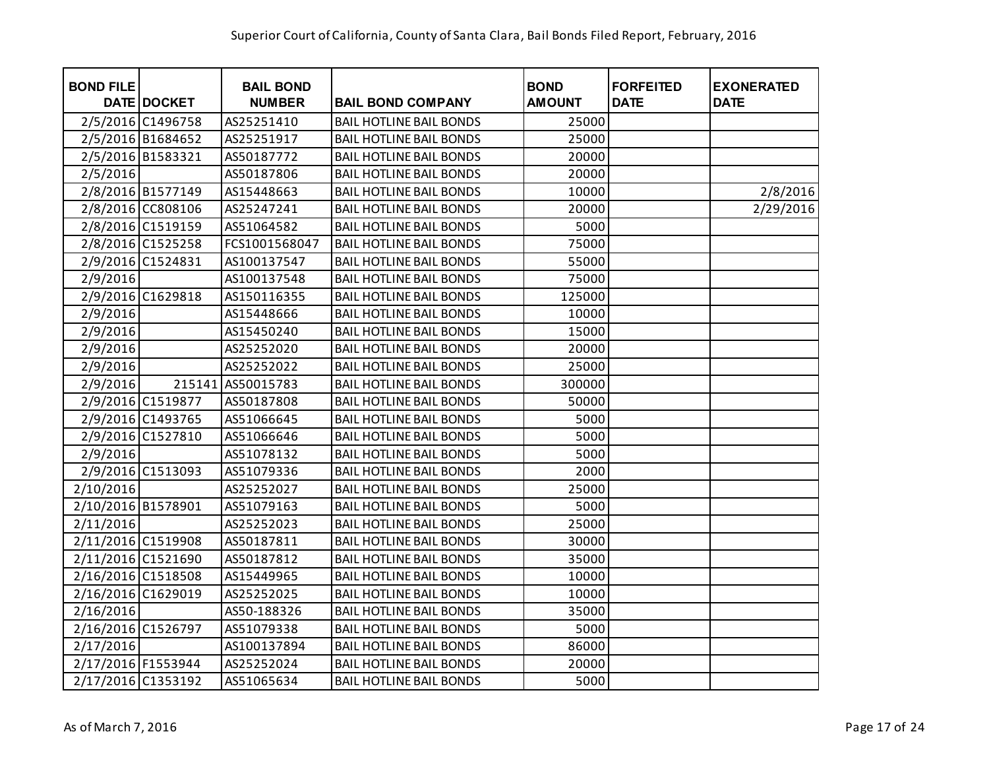| <b>BOND FILE</b>   | <b>DATE DOCKET</b> | <b>BAIL BOND</b><br><b>NUMBER</b> | <b>BAIL BOND COMPANY</b>       | <b>BOND</b><br><b>AMOUNT</b> | <b>FORFEITED</b><br><b>DATE</b> | <b>EXONERATED</b><br><b>DATE</b> |
|--------------------|--------------------|-----------------------------------|--------------------------------|------------------------------|---------------------------------|----------------------------------|
|                    | 2/5/2016 C1496758  | AS25251410                        | <b>BAIL HOTLINE BAIL BONDS</b> | 25000                        |                                 |                                  |
|                    | 2/5/2016 B1684652  | AS25251917                        | <b>BAIL HOTLINE BAIL BONDS</b> | 25000                        |                                 |                                  |
|                    | 2/5/2016 B1583321  | AS50187772                        | <b>BAIL HOTLINE BAIL BONDS</b> | 20000                        |                                 |                                  |
| 2/5/2016           |                    | AS50187806                        | <b>BAIL HOTLINE BAIL BONDS</b> | 20000                        |                                 |                                  |
|                    | 2/8/2016 B1577149  | AS15448663                        | <b>BAIL HOTLINE BAIL BONDS</b> | 10000                        |                                 | 2/8/2016                         |
|                    | 2/8/2016 CC808106  | AS25247241                        | <b>BAIL HOTLINE BAIL BONDS</b> | 20000                        |                                 | 2/29/2016                        |
|                    | 2/8/2016 C1519159  | AS51064582                        | <b>BAIL HOTLINE BAIL BONDS</b> | 5000                         |                                 |                                  |
|                    | 2/8/2016 C1525258  | FCS1001568047                     | <b>BAIL HOTLINE BAIL BONDS</b> | 75000                        |                                 |                                  |
|                    | 2/9/2016 C1524831  | AS100137547                       | <b>BAIL HOTLINE BAIL BONDS</b> | 55000                        |                                 |                                  |
| 2/9/2016           |                    | AS100137548                       | <b>BAIL HOTLINE BAIL BONDS</b> | 75000                        |                                 |                                  |
|                    | 2/9/2016 C1629818  | AS150116355                       | <b>BAIL HOTLINE BAIL BONDS</b> | 125000                       |                                 |                                  |
| 2/9/2016           |                    | AS15448666                        | <b>BAIL HOTLINE BAIL BONDS</b> | 10000                        |                                 |                                  |
| 2/9/2016           |                    | AS15450240                        | <b>BAIL HOTLINE BAIL BONDS</b> | 15000                        |                                 |                                  |
| 2/9/2016           |                    | AS25252020                        | <b>BAIL HOTLINE BAIL BONDS</b> | 20000                        |                                 |                                  |
| 2/9/2016           |                    | AS25252022                        | <b>BAIL HOTLINE BAIL BONDS</b> | 25000                        |                                 |                                  |
| 2/9/2016           | 215141             | AS50015783                        | <b>BAIL HOTLINE BAIL BONDS</b> | 300000                       |                                 |                                  |
|                    | 2/9/2016 C1519877  | AS50187808                        | <b>BAIL HOTLINE BAIL BONDS</b> | 50000                        |                                 |                                  |
|                    | 2/9/2016 C1493765  | AS51066645                        | <b>BAIL HOTLINE BAIL BONDS</b> | 5000                         |                                 |                                  |
|                    | 2/9/2016 C1527810  | AS51066646                        | <b>BAIL HOTLINE BAIL BONDS</b> | 5000                         |                                 |                                  |
| 2/9/2016           |                    | AS51078132                        | <b>BAIL HOTLINE BAIL BONDS</b> | 5000                         |                                 |                                  |
|                    | 2/9/2016 C1513093  | AS51079336                        | <b>BAIL HOTLINE BAIL BONDS</b> | 2000                         |                                 |                                  |
| 2/10/2016          |                    | AS25252027                        | <b>BAIL HOTLINE BAIL BONDS</b> | 25000                        |                                 |                                  |
| 2/10/2016 B1578901 |                    | AS51079163                        | <b>BAIL HOTLINE BAIL BONDS</b> | 5000                         |                                 |                                  |
| 2/11/2016          |                    | AS25252023                        | <b>BAIL HOTLINE BAIL BONDS</b> | 25000                        |                                 |                                  |
| 2/11/2016 C1519908 |                    | AS50187811                        | <b>BAIL HOTLINE BAIL BONDS</b> | 30000                        |                                 |                                  |
| 2/11/2016 C1521690 |                    | AS50187812                        | <b>BAIL HOTLINE BAIL BONDS</b> | 35000                        |                                 |                                  |
| 2/16/2016 C1518508 |                    | AS15449965                        | <b>BAIL HOTLINE BAIL BONDS</b> | 10000                        |                                 |                                  |
| 2/16/2016 C1629019 |                    | AS25252025                        | <b>BAIL HOTLINE BAIL BONDS</b> | 10000                        |                                 |                                  |
| 2/16/2016          |                    | AS50-188326                       | <b>BAIL HOTLINE BAIL BONDS</b> | 35000                        |                                 |                                  |
| 2/16/2016 C1526797 |                    | AS51079338                        | <b>BAIL HOTLINE BAIL BONDS</b> | 5000                         |                                 |                                  |
| 2/17/2016          |                    | AS100137894                       | <b>BAIL HOTLINE BAIL BONDS</b> | 86000                        |                                 |                                  |
| 2/17/2016 F1553944 |                    | AS25252024                        | <b>BAIL HOTLINE BAIL BONDS</b> | 20000                        |                                 |                                  |
| 2/17/2016 C1353192 |                    | AS51065634                        | <b>BAIL HOTLINE BAIL BONDS</b> | 5000                         |                                 |                                  |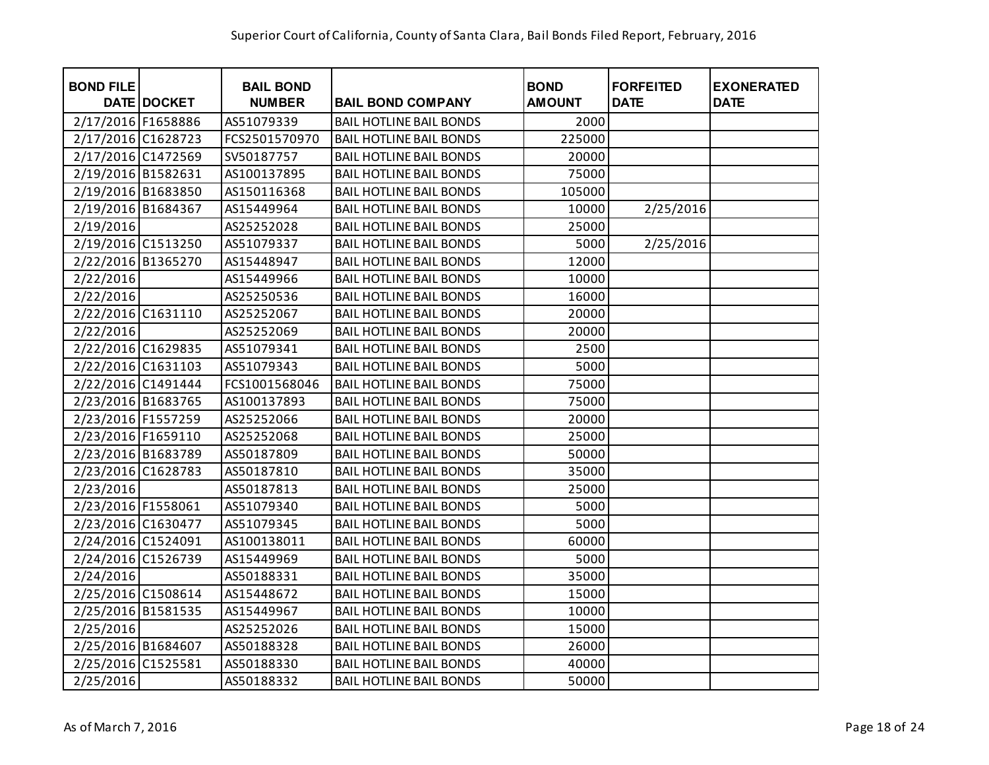| <b>BOND FILE</b>   | DATE DOCKET | <b>BAIL BOND</b><br><b>NUMBER</b> | <b>BAIL BOND COMPANY</b>       | <b>BOND</b><br><b>AMOUNT</b> | <b>FORFEITED</b><br><b>DATE</b> | <b>EXONERATED</b><br><b>DATE</b> |
|--------------------|-------------|-----------------------------------|--------------------------------|------------------------------|---------------------------------|----------------------------------|
| 2/17/2016 F1658886 |             | AS51079339                        | <b>BAIL HOTLINE BAIL BONDS</b> | 2000                         |                                 |                                  |
| 2/17/2016 C1628723 |             | FCS2501570970                     | <b>BAIL HOTLINE BAIL BONDS</b> | 225000                       |                                 |                                  |
| 2/17/2016 C1472569 |             | SV50187757                        | <b>BAIL HOTLINE BAIL BONDS</b> | 20000                        |                                 |                                  |
| 2/19/2016 B1582631 |             | AS100137895                       | <b>BAIL HOTLINE BAIL BONDS</b> | 75000                        |                                 |                                  |
| 2/19/2016 B1683850 |             | AS150116368                       | <b>BAIL HOTLINE BAIL BONDS</b> | 105000                       |                                 |                                  |
| 2/19/2016 B1684367 |             | AS15449964                        | <b>BAIL HOTLINE BAIL BONDS</b> | 10000                        | 2/25/2016                       |                                  |
| 2/19/2016          |             | AS25252028                        | <b>BAIL HOTLINE BAIL BONDS</b> | 25000                        |                                 |                                  |
| 2/19/2016 C1513250 |             | AS51079337                        | <b>BAIL HOTLINE BAIL BONDS</b> | 5000                         | 2/25/2016                       |                                  |
| 2/22/2016 B1365270 |             | AS15448947                        | <b>BAIL HOTLINE BAIL BONDS</b> | 12000                        |                                 |                                  |
| 2/22/2016          |             | AS15449966                        | <b>BAIL HOTLINE BAIL BONDS</b> | 10000                        |                                 |                                  |
| 2/22/2016          |             | AS25250536                        | <b>BAIL HOTLINE BAIL BONDS</b> | 16000                        |                                 |                                  |
| 2/22/2016 C1631110 |             | AS25252067                        | <b>BAIL HOTLINE BAIL BONDS</b> | 20000                        |                                 |                                  |
| 2/22/2016          |             | AS25252069                        | <b>BAIL HOTLINE BAIL BONDS</b> | 20000                        |                                 |                                  |
| 2/22/2016 C1629835 |             | AS51079341                        | <b>BAIL HOTLINE BAIL BONDS</b> | 2500                         |                                 |                                  |
| 2/22/2016 C1631103 |             | AS51079343                        | <b>BAIL HOTLINE BAIL BONDS</b> | 5000                         |                                 |                                  |
| 2/22/2016 C1491444 |             | FCS1001568046                     | <b>BAIL HOTLINE BAIL BONDS</b> | 75000                        |                                 |                                  |
| 2/23/2016 B1683765 |             | AS100137893                       | <b>BAIL HOTLINE BAIL BONDS</b> | 75000                        |                                 |                                  |
| 2/23/2016 F1557259 |             | AS25252066                        | <b>BAIL HOTLINE BAIL BONDS</b> | 20000                        |                                 |                                  |
| 2/23/2016 F1659110 |             | AS25252068                        | <b>BAIL HOTLINE BAIL BONDS</b> | 25000                        |                                 |                                  |
| 2/23/2016 B1683789 |             | AS50187809                        | <b>BAIL HOTLINE BAIL BONDS</b> | 50000                        |                                 |                                  |
| 2/23/2016 C1628783 |             | AS50187810                        | <b>BAIL HOTLINE BAIL BONDS</b> | 35000                        |                                 |                                  |
| 2/23/2016          |             | AS50187813                        | <b>BAIL HOTLINE BAIL BONDS</b> | 25000                        |                                 |                                  |
| 2/23/2016 F1558061 |             | AS51079340                        | <b>BAIL HOTLINE BAIL BONDS</b> | 5000                         |                                 |                                  |
| 2/23/2016 C1630477 |             | AS51079345                        | <b>BAIL HOTLINE BAIL BONDS</b> | 5000                         |                                 |                                  |
| 2/24/2016 C1524091 |             | AS100138011                       | <b>BAIL HOTLINE BAIL BONDS</b> | 60000                        |                                 |                                  |
| 2/24/2016 C1526739 |             | AS15449969                        | <b>BAIL HOTLINE BAIL BONDS</b> | 5000                         |                                 |                                  |
| 2/24/2016          |             | AS50188331                        | <b>BAIL HOTLINE BAIL BONDS</b> | 35000                        |                                 |                                  |
| 2/25/2016 C1508614 |             | AS15448672                        | <b>BAIL HOTLINE BAIL BONDS</b> | 15000                        |                                 |                                  |
| 2/25/2016 B1581535 |             | AS15449967                        | <b>BAIL HOTLINE BAIL BONDS</b> | 10000                        |                                 |                                  |
| 2/25/2016          |             | AS25252026                        | <b>BAIL HOTLINE BAIL BONDS</b> | 15000                        |                                 |                                  |
| 2/25/2016 B1684607 |             | AS50188328                        | <b>BAIL HOTLINE BAIL BONDS</b> | 26000                        |                                 |                                  |
| 2/25/2016 C1525581 |             | AS50188330                        | <b>BAIL HOTLINE BAIL BONDS</b> | 40000                        |                                 |                                  |
| 2/25/2016          |             | AS50188332                        | <b>BAIL HOTLINE BAIL BONDS</b> | 50000                        |                                 |                                  |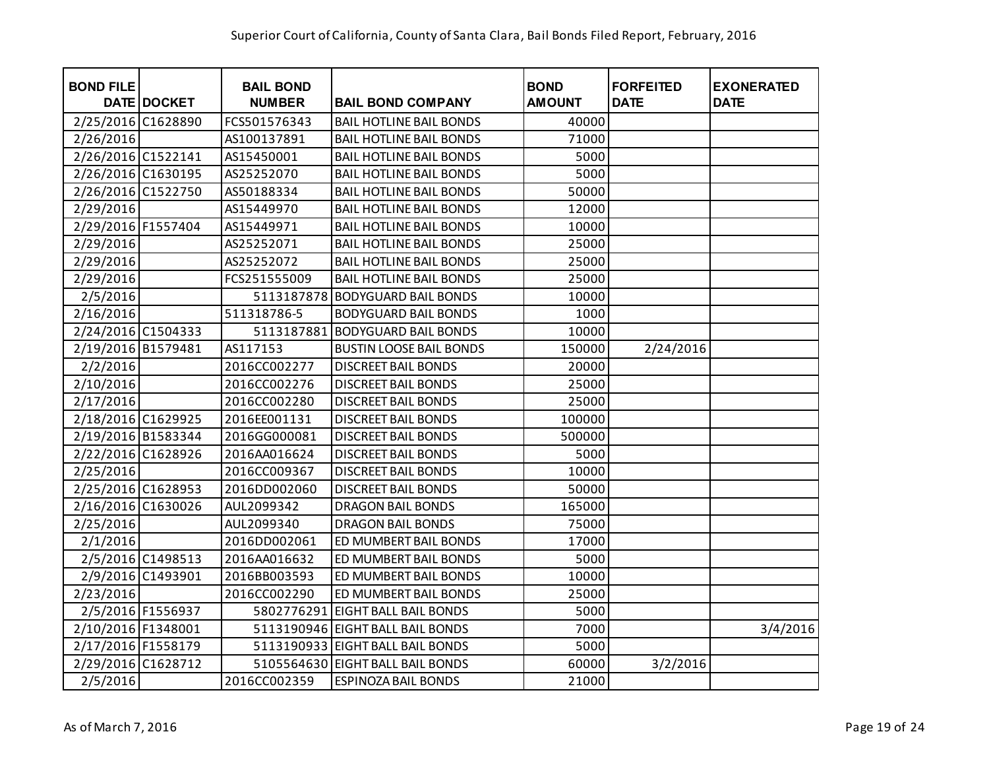| <b>BOND FILE</b>   | <b>DATE DOCKET</b> | <b>BAIL BOND</b><br><b>NUMBER</b> | <b>BAIL BOND COMPANY</b>         | <b>BOND</b><br><b>AMOUNT</b> | <b>FORFEITED</b><br><b>DATE</b> | <b>EXONERATED</b><br><b>DATE</b> |
|--------------------|--------------------|-----------------------------------|----------------------------------|------------------------------|---------------------------------|----------------------------------|
| 2/25/2016 C1628890 |                    | FCS501576343                      | <b>BAIL HOTLINE BAIL BONDS</b>   | 40000                        |                                 |                                  |
| 2/26/2016          |                    | AS100137891                       | <b>BAIL HOTLINE BAIL BONDS</b>   | 71000                        |                                 |                                  |
| 2/26/2016 C1522141 |                    | AS15450001                        | <b>BAIL HOTLINE BAIL BONDS</b>   | 5000                         |                                 |                                  |
| 2/26/2016 C1630195 |                    | AS25252070                        | <b>BAIL HOTLINE BAIL BONDS</b>   | 5000                         |                                 |                                  |
| 2/26/2016 C1522750 |                    | AS50188334                        | <b>BAIL HOTLINE BAIL BONDS</b>   | 50000                        |                                 |                                  |
| 2/29/2016          |                    | AS15449970                        | <b>BAIL HOTLINE BAIL BONDS</b>   | 12000                        |                                 |                                  |
| 2/29/2016 F1557404 |                    | AS15449971                        | <b>BAIL HOTLINE BAIL BONDS</b>   | 10000                        |                                 |                                  |
| 2/29/2016          |                    | AS25252071                        | <b>BAIL HOTLINE BAIL BONDS</b>   | 25000                        |                                 |                                  |
| 2/29/2016          |                    | AS25252072                        | <b>BAIL HOTLINE BAIL BONDS</b>   | 25000                        |                                 |                                  |
| 2/29/2016          |                    | FCS251555009                      | <b>BAIL HOTLINE BAIL BONDS</b>   | 25000                        |                                 |                                  |
| 2/5/2016           |                    | 5113187878                        | <b>BODYGUARD BAIL BONDS</b>      | 10000                        |                                 |                                  |
| 2/16/2016          |                    | 511318786-5                       | <b>BODYGUARD BAIL BONDS</b>      | 1000                         |                                 |                                  |
| 2/24/2016 C1504333 |                    | 5113187881                        | <b>BODYGUARD BAIL BONDS</b>      | 10000                        |                                 |                                  |
| 2/19/2016 B1579481 |                    | AS117153                          | <b>BUSTIN LOOSE BAIL BONDS</b>   | 150000                       | 2/24/2016                       |                                  |
| 2/2/2016           |                    | 2016CC002277                      | <b>DISCREET BAIL BONDS</b>       | 20000                        |                                 |                                  |
| 2/10/2016          |                    | 2016CC002276                      | <b>DISCREET BAIL BONDS</b>       | 25000                        |                                 |                                  |
| 2/17/2016          |                    | 2016CC002280                      | <b>DISCREET BAIL BONDS</b>       | 25000                        |                                 |                                  |
| 2/18/2016 C1629925 |                    | 2016EE001131                      | <b>DISCREET BAIL BONDS</b>       | 100000                       |                                 |                                  |
| 2/19/2016 B1583344 |                    | 2016GG000081                      | <b>DISCREET BAIL BONDS</b>       | 500000                       |                                 |                                  |
| 2/22/2016 C1628926 |                    | 2016AA016624                      | <b>DISCREET BAIL BONDS</b>       | 5000                         |                                 |                                  |
| 2/25/2016          |                    | 2016CC009367                      | <b>DISCREET BAIL BONDS</b>       | 10000                        |                                 |                                  |
| 2/25/2016 C1628953 |                    | 2016DD002060                      | <b>DISCREET BAIL BONDS</b>       | 50000                        |                                 |                                  |
| 2/16/2016 C1630026 |                    | AUL2099342                        | <b>DRAGON BAIL BONDS</b>         | 165000                       |                                 |                                  |
| 2/25/2016          |                    | AUL2099340                        | <b>DRAGON BAIL BONDS</b>         | 75000                        |                                 |                                  |
| 2/1/2016           |                    | 2016DD002061                      | ED MUMBERT BAIL BONDS            | 17000                        |                                 |                                  |
|                    | 2/5/2016 C1498513  | 2016AA016632                      | ED MUMBERT BAIL BONDS            | 5000                         |                                 |                                  |
|                    | 2/9/2016 C1493901  | 2016BB003593                      | ED MUMBERT BAIL BONDS            | 10000                        |                                 |                                  |
| 2/23/2016          |                    | 2016CC002290                      | ED MUMBERT BAIL BONDS            | 25000                        |                                 |                                  |
|                    | 2/5/2016 F1556937  | 5802776291                        | <b>EIGHT BALL BAIL BONDS</b>     | 5000                         |                                 |                                  |
| 2/10/2016 F1348001 |                    |                                   | 5113190946 EIGHT BALL BAIL BONDS | 7000                         |                                 | 3/4/2016                         |
| 2/17/2016 F1558179 |                    |                                   | 5113190933 EIGHT BALL BAIL BONDS | 5000                         |                                 |                                  |
| 2/29/2016 C1628712 |                    |                                   | 5105564630 EIGHT BALL BAIL BONDS | 60000                        | 3/2/2016                        |                                  |
| 2/5/2016           |                    | 2016CC002359                      | <b>ESPINOZA BAIL BONDS</b>       | 21000                        |                                 |                                  |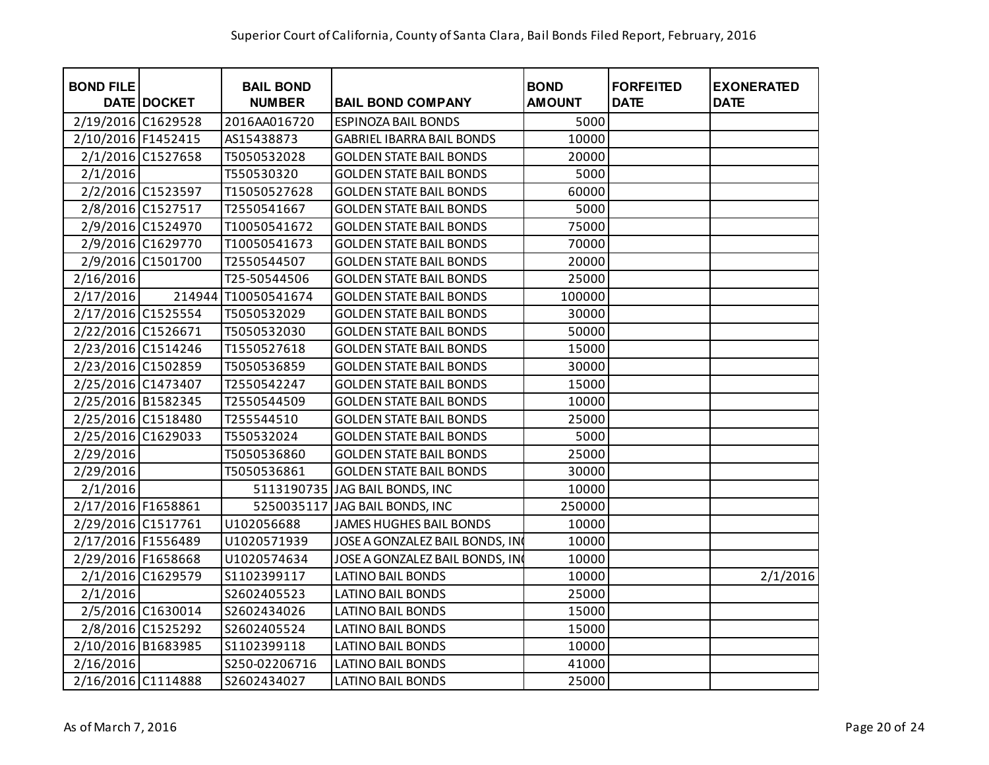| <b>BOND FILE</b>   | <b>DATE DOCKET</b> | <b>BAIL BOND</b><br><b>NUMBER</b> | <b>BAIL BOND COMPANY</b>         | <b>BOND</b><br><b>AMOUNT</b> | <b>FORFEITED</b><br><b>DATE</b> | <b>EXONERATED</b><br><b>DATE</b> |
|--------------------|--------------------|-----------------------------------|----------------------------------|------------------------------|---------------------------------|----------------------------------|
| 2/19/2016 C1629528 |                    | 2016AA016720                      | <b>ESPINOZA BAIL BONDS</b>       | 5000                         |                                 |                                  |
| 2/10/2016 F1452415 |                    | AS15438873                        | <b>GABRIEL IBARRA BAIL BONDS</b> | 10000                        |                                 |                                  |
|                    | 2/1/2016 C1527658  | T5050532028                       | <b>GOLDEN STATE BAIL BONDS</b>   | 20000                        |                                 |                                  |
| 2/1/2016           |                    | T550530320                        | <b>GOLDEN STATE BAIL BONDS</b>   | 5000                         |                                 |                                  |
|                    | 2/2/2016 C1523597  | T15050527628                      | <b>GOLDEN STATE BAIL BONDS</b>   | 60000                        |                                 |                                  |
|                    | 2/8/2016 C1527517  | T2550541667                       | <b>GOLDEN STATE BAIL BONDS</b>   | 5000                         |                                 |                                  |
|                    | 2/9/2016 C1524970  | T10050541672                      | <b>GOLDEN STATE BAIL BONDS</b>   | 75000                        |                                 |                                  |
|                    | 2/9/2016 C1629770  | T10050541673                      | <b>GOLDEN STATE BAIL BONDS</b>   | 70000                        |                                 |                                  |
|                    | 2/9/2016 C1501700  | T2550544507                       | <b>GOLDEN STATE BAIL BONDS</b>   | 20000                        |                                 |                                  |
| 2/16/2016          |                    | T25-50544506                      | <b>GOLDEN STATE BAIL BONDS</b>   | 25000                        |                                 |                                  |
| 2/17/2016          |                    | 214944 T10050541674               | <b>GOLDEN STATE BAIL BONDS</b>   | 100000                       |                                 |                                  |
| 2/17/2016 C1525554 |                    | T5050532029                       | <b>GOLDEN STATE BAIL BONDS</b>   | 30000                        |                                 |                                  |
| 2/22/2016 C1526671 |                    | T5050532030                       | <b>GOLDEN STATE BAIL BONDS</b>   | 50000                        |                                 |                                  |
| 2/23/2016 C1514246 |                    | T1550527618                       | <b>GOLDEN STATE BAIL BONDS</b>   | 15000                        |                                 |                                  |
| 2/23/2016 C1502859 |                    | T5050536859                       | <b>GOLDEN STATE BAIL BONDS</b>   | 30000                        |                                 |                                  |
| 2/25/2016 C1473407 |                    | T2550542247                       | <b>GOLDEN STATE BAIL BONDS</b>   | 15000                        |                                 |                                  |
| 2/25/2016 B1582345 |                    | T2550544509                       | <b>GOLDEN STATE BAIL BONDS</b>   | 10000                        |                                 |                                  |
| 2/25/2016 C1518480 |                    | T255544510                        | <b>GOLDEN STATE BAIL BONDS</b>   | 25000                        |                                 |                                  |
| 2/25/2016 C1629033 |                    | T550532024                        | <b>GOLDEN STATE BAIL BONDS</b>   | 5000                         |                                 |                                  |
| 2/29/2016          |                    | T5050536860                       | <b>GOLDEN STATE BAIL BONDS</b>   | 25000                        |                                 |                                  |
| 2/29/2016          |                    | T5050536861                       | <b>GOLDEN STATE BAIL BONDS</b>   | 30000                        |                                 |                                  |
| 2/1/2016           |                    |                                   | 5113190735 JAG BAIL BONDS, INC   | 10000                        |                                 |                                  |
| 2/17/2016 F1658861 |                    |                                   | 5250035117 JAG BAIL BONDS, INC   | 250000                       |                                 |                                  |
| 2/29/2016 C1517761 |                    | U102056688                        | <b>JAMES HUGHES BAIL BONDS</b>   | 10000                        |                                 |                                  |
| 2/17/2016 F1556489 |                    | U1020571939                       | JOSE A GONZALEZ BAIL BONDS, IN   | 10000                        |                                 |                                  |
| 2/29/2016 F1658668 |                    | U1020574634                       | JOSE A GONZALEZ BAIL BONDS, IN   | 10000                        |                                 |                                  |
|                    | 2/1/2016 C1629579  | S1102399117                       | <b>LATINO BAIL BONDS</b>         | 10000                        |                                 | 2/1/2016                         |
| 2/1/2016           |                    | S2602405523                       | <b>LATINO BAIL BONDS</b>         | 25000                        |                                 |                                  |
|                    | 2/5/2016 C1630014  | S2602434026                       | <b>LATINO BAIL BONDS</b>         | 15000                        |                                 |                                  |
|                    | 2/8/2016 C1525292  | S2602405524                       | <b>LATINO BAIL BONDS</b>         | 15000                        |                                 |                                  |
| 2/10/2016 B1683985 |                    | S1102399118                       | <b>LATINO BAIL BONDS</b>         | 10000                        |                                 |                                  |
| 2/16/2016          |                    | S250-02206716                     | <b>LATINO BAIL BONDS</b>         | 41000                        |                                 |                                  |
| 2/16/2016 C1114888 |                    | S2602434027                       | <b>LATINO BAIL BONDS</b>         | 25000                        |                                 |                                  |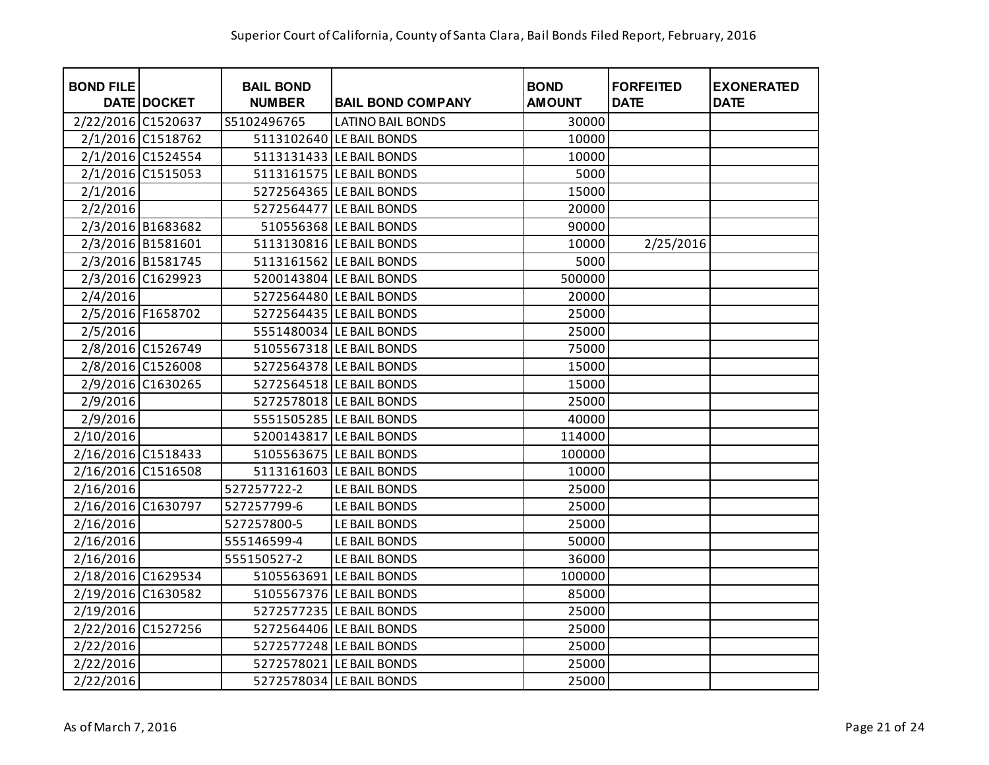| <b>BOND FILE</b>   | <b>DATE DOCKET</b> | <b>BAIL BOND</b><br><b>NUMBER</b> | <b>BAIL BOND COMPANY</b> | <b>BOND</b><br><b>AMOUNT</b> | <b>FORFEITED</b><br><b>DATE</b> | <b>EXONERATED</b><br><b>DATE</b> |
|--------------------|--------------------|-----------------------------------|--------------------------|------------------------------|---------------------------------|----------------------------------|
| 2/22/2016 C1520637 |                    | S5102496765                       | <b>LATINO BAIL BONDS</b> | 30000                        |                                 |                                  |
|                    | 2/1/2016 C1518762  |                                   | 5113102640 LE BAIL BONDS | 10000                        |                                 |                                  |
|                    | 2/1/2016 C1524554  |                                   | 5113131433 LE BAIL BONDS | 10000                        |                                 |                                  |
|                    | 2/1/2016 C1515053  |                                   | 5113161575 LE BAIL BONDS | 5000                         |                                 |                                  |
| 2/1/2016           |                    |                                   | 5272564365 LE BAIL BONDS | 15000                        |                                 |                                  |
| 2/2/2016           |                    |                                   | 5272564477 LE BAIL BONDS | 20000                        |                                 |                                  |
|                    | 2/3/2016 B1683682  |                                   | 510556368 LE BAIL BONDS  | 90000                        |                                 |                                  |
|                    | 2/3/2016 B1581601  |                                   | 5113130816 LE BAIL BONDS | 10000                        | 2/25/2016                       |                                  |
|                    | 2/3/2016 B1581745  |                                   | 5113161562 LE BAIL BONDS | 5000                         |                                 |                                  |
|                    | 2/3/2016 C1629923  |                                   | 5200143804 LE BAIL BONDS | 500000                       |                                 |                                  |
| 2/4/2016           |                    |                                   | 5272564480 LE BAIL BONDS | 20000                        |                                 |                                  |
|                    | 2/5/2016 F1658702  |                                   | 5272564435 LE BAIL BONDS | 25000                        |                                 |                                  |
| 2/5/2016           |                    |                                   | 5551480034 LE BAIL BONDS | 25000                        |                                 |                                  |
|                    | 2/8/2016 C1526749  |                                   | 5105567318 LE BAIL BONDS | 75000                        |                                 |                                  |
|                    | 2/8/2016 C1526008  |                                   | 5272564378 LE BAIL BONDS | 15000                        |                                 |                                  |
|                    | 2/9/2016 C1630265  |                                   | 5272564518 LE BAIL BONDS | 15000                        |                                 |                                  |
| 2/9/2016           |                    |                                   | 5272578018 LE BAIL BONDS | 25000                        |                                 |                                  |
| 2/9/2016           |                    |                                   | 5551505285 LE BAIL BONDS | 40000                        |                                 |                                  |
| 2/10/2016          |                    |                                   | 5200143817 LE BAIL BONDS | 114000                       |                                 |                                  |
| 2/16/2016 C1518433 |                    |                                   | 5105563675 LE BAIL BONDS | 100000                       |                                 |                                  |
| 2/16/2016 C1516508 |                    |                                   | 5113161603 LE BAIL BONDS | 10000                        |                                 |                                  |
| 2/16/2016          |                    | 527257722-2                       | LE BAIL BONDS            | 25000                        |                                 |                                  |
| 2/16/2016 C1630797 |                    | 527257799-6                       | LE BAIL BONDS            | 25000                        |                                 |                                  |
| 2/16/2016          |                    | 527257800-5                       | LE BAIL BONDS            | 25000                        |                                 |                                  |
| 2/16/2016          |                    | 555146599-4                       | LE BAIL BONDS            | 50000                        |                                 |                                  |
| 2/16/2016          |                    | 555150527-2                       | LE BAIL BONDS            | 36000                        |                                 |                                  |
| 2/18/2016 C1629534 |                    |                                   | 5105563691 LE BAIL BONDS | 100000                       |                                 |                                  |
| 2/19/2016 C1630582 |                    |                                   | 5105567376 LE BAIL BONDS | 85000                        |                                 |                                  |
| 2/19/2016          |                    |                                   | 5272577235 LE BAIL BONDS | 25000                        |                                 |                                  |
| 2/22/2016 C1527256 |                    |                                   | 5272564406 LE BAIL BONDS | 25000                        |                                 |                                  |
| 2/22/2016          |                    |                                   | 5272577248 LE BAIL BONDS | 25000                        |                                 |                                  |
| 2/22/2016          |                    |                                   | 5272578021 LE BAIL BONDS | 25000                        |                                 |                                  |
| 2/22/2016          |                    |                                   | 5272578034 LE BAIL BONDS | 25000                        |                                 |                                  |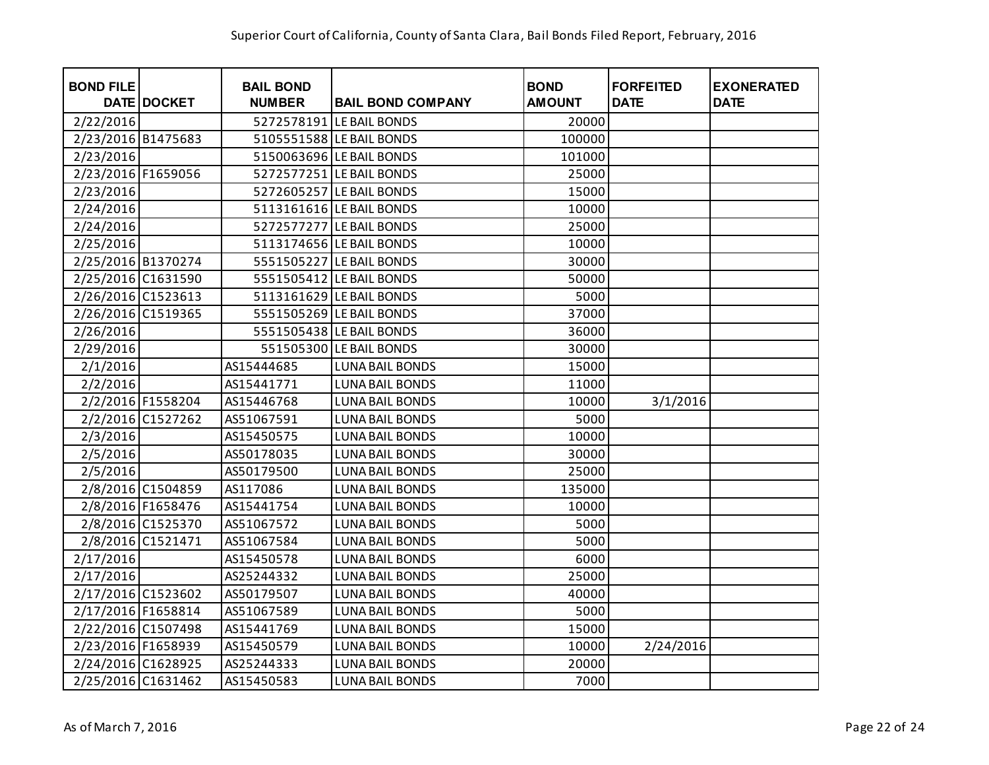| <b>BOND FILE</b>   | <b>DATE DOCKET</b> | <b>BAIL BOND</b><br><b>NUMBER</b> | <b>BAIL BOND COMPANY</b> | <b>BOND</b><br><b>AMOUNT</b> | <b>FORFEITED</b><br><b>DATE</b> | <b>EXONERATED</b><br><b>DATE</b> |
|--------------------|--------------------|-----------------------------------|--------------------------|------------------------------|---------------------------------|----------------------------------|
| 2/22/2016          |                    |                                   | 5272578191 LE BAIL BONDS | 20000                        |                                 |                                  |
| 2/23/2016 B1475683 |                    |                                   | 5105551588 LE BAIL BONDS | 100000                       |                                 |                                  |
| 2/23/2016          |                    |                                   | 5150063696 LE BAIL BONDS | 101000                       |                                 |                                  |
| 2/23/2016 F1659056 |                    |                                   | 5272577251 LE BAIL BONDS | 25000                        |                                 |                                  |
| 2/23/2016          |                    |                                   | 5272605257 LE BAIL BONDS | 15000                        |                                 |                                  |
| 2/24/2016          |                    |                                   | 5113161616 LE BAIL BONDS | 10000                        |                                 |                                  |
| 2/24/2016          |                    |                                   | 5272577277 LE BAIL BONDS | 25000                        |                                 |                                  |
| 2/25/2016          |                    |                                   | 5113174656 LE BAIL BONDS | 10000                        |                                 |                                  |
| 2/25/2016 B1370274 |                    |                                   | 5551505227 LE BAIL BONDS | 30000                        |                                 |                                  |
| 2/25/2016 C1631590 |                    |                                   | 5551505412 LE BAIL BONDS | 50000                        |                                 |                                  |
| 2/26/2016 C1523613 |                    |                                   | 5113161629 LE BAIL BONDS | 5000                         |                                 |                                  |
| 2/26/2016 C1519365 |                    |                                   | 5551505269 LE BAIL BONDS | 37000                        |                                 |                                  |
| 2/26/2016          |                    |                                   | 5551505438 LE BAIL BONDS | 36000                        |                                 |                                  |
| 2/29/2016          |                    |                                   | 551505300 LE BAIL BONDS  | 30000                        |                                 |                                  |
| 2/1/2016           |                    | AS15444685                        | <b>LUNA BAIL BONDS</b>   | 15000                        |                                 |                                  |
| 2/2/2016           |                    | AS15441771                        | <b>LUNA BAIL BONDS</b>   | 11000                        |                                 |                                  |
|                    | 2/2/2016 F1558204  | AS15446768                        | <b>LUNA BAIL BONDS</b>   | 10000                        | 3/1/2016                        |                                  |
|                    | 2/2/2016 C1527262  | AS51067591                        | <b>LUNA BAIL BONDS</b>   | 5000                         |                                 |                                  |
| 2/3/2016           |                    | AS15450575                        | <b>LUNA BAIL BONDS</b>   | 10000                        |                                 |                                  |
| 2/5/2016           |                    | AS50178035                        | <b>LUNA BAIL BONDS</b>   | 30000                        |                                 |                                  |
| 2/5/2016           |                    | AS50179500                        | <b>LUNA BAIL BONDS</b>   | 25000                        |                                 |                                  |
|                    | 2/8/2016 C1504859  | AS117086                          | <b>LUNA BAIL BONDS</b>   | 135000                       |                                 |                                  |
|                    | 2/8/2016 F1658476  | AS15441754                        | <b>LUNA BAIL BONDS</b>   | 10000                        |                                 |                                  |
|                    | 2/8/2016 C1525370  | AS51067572                        | <b>LUNA BAIL BONDS</b>   | 5000                         |                                 |                                  |
|                    | 2/8/2016 C1521471  | AS51067584                        | <b>LUNA BAIL BONDS</b>   | 5000                         |                                 |                                  |
| 2/17/2016          |                    | AS15450578                        | <b>LUNA BAIL BONDS</b>   | 6000                         |                                 |                                  |
| 2/17/2016          |                    | AS25244332                        | <b>LUNA BAIL BONDS</b>   | 25000                        |                                 |                                  |
| 2/17/2016 C1523602 |                    | AS50179507                        | <b>LUNA BAIL BONDS</b>   | 40000                        |                                 |                                  |
| 2/17/2016 F1658814 |                    | AS51067589                        | <b>LUNA BAIL BONDS</b>   | 5000                         |                                 |                                  |
| 2/22/2016 C1507498 |                    | AS15441769                        | <b>LUNA BAIL BONDS</b>   | 15000                        |                                 |                                  |
| 2/23/2016 F1658939 |                    | AS15450579                        | <b>LUNA BAIL BONDS</b>   | 10000                        | 2/24/2016                       |                                  |
| 2/24/2016 C1628925 |                    | AS25244333                        | <b>LUNA BAIL BONDS</b>   | 20000                        |                                 |                                  |
| 2/25/2016 C1631462 |                    | AS15450583                        | <b>LUNA BAIL BONDS</b>   | 7000                         |                                 |                                  |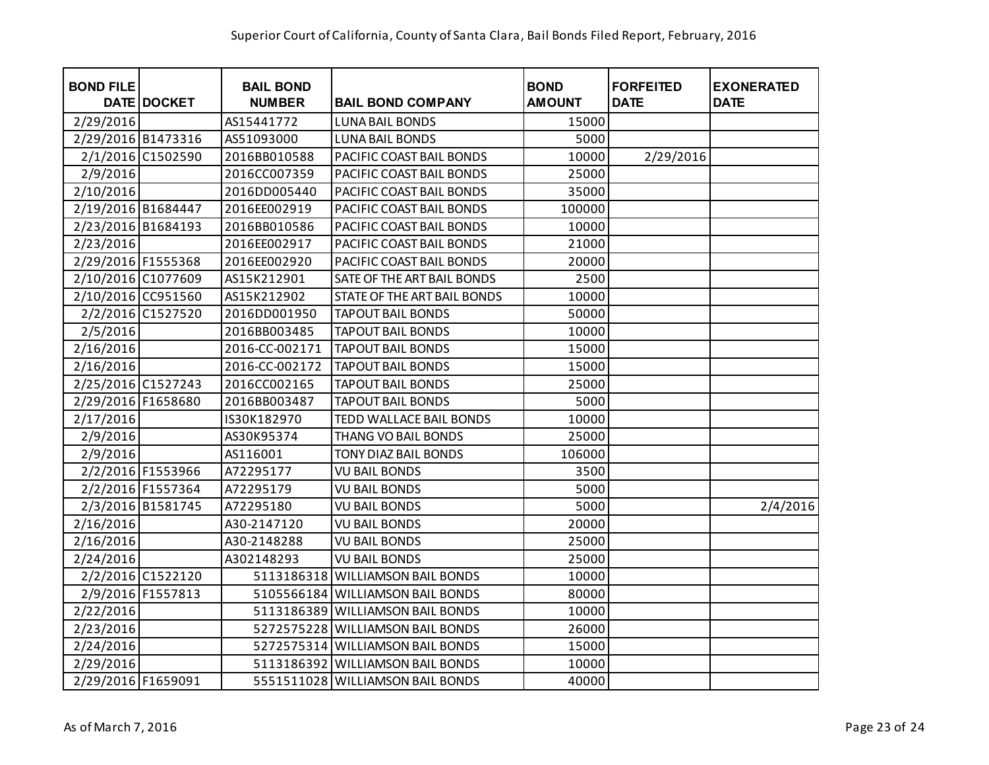| <b>BOND FILE</b>   | <b>DATE DOCKET</b> | <b>BAIL BOND</b><br><b>NUMBER</b> | <b>BAIL BOND COMPANY</b>         | <b>BOND</b><br><b>AMOUNT</b> | <b>FORFEITED</b><br><b>DATE</b> | <b>EXONERATED</b><br><b>DATE</b> |
|--------------------|--------------------|-----------------------------------|----------------------------------|------------------------------|---------------------------------|----------------------------------|
| 2/29/2016          |                    | AS15441772                        | <b>LUNA BAIL BONDS</b>           | 15000                        |                                 |                                  |
| 2/29/2016 B1473316 |                    | AS51093000                        | <b>LUNA BAIL BONDS</b>           | 5000                         |                                 |                                  |
|                    | 2/1/2016 C1502590  | 2016BB010588                      | PACIFIC COAST BAIL BONDS         | 10000                        | 2/29/2016                       |                                  |
| 2/9/2016           |                    | 2016CC007359                      | PACIFIC COAST BAIL BONDS         | 25000                        |                                 |                                  |
| 2/10/2016          |                    | 2016DD005440                      | PACIFIC COAST BAIL BONDS         | 35000                        |                                 |                                  |
| 2/19/2016 B1684447 |                    | 2016EE002919                      | PACIFIC COAST BAIL BONDS         | 100000                       |                                 |                                  |
| 2/23/2016 B1684193 |                    | 2016BB010586                      | PACIFIC COAST BAIL BONDS         | 10000                        |                                 |                                  |
| 2/23/2016          |                    | 2016EE002917                      | PACIFIC COAST BAIL BONDS         | 21000                        |                                 |                                  |
| 2/29/2016 F1555368 |                    | 2016EE002920                      | PACIFIC COAST BAIL BONDS         | 20000                        |                                 |                                  |
| 2/10/2016 C1077609 |                    | AS15K212901                       | SATE OF THE ART BAIL BONDS       | 2500                         |                                 |                                  |
| 2/10/2016 CC951560 |                    | AS15K212902                       | STATE OF THE ART BAIL BONDS      | 10000                        |                                 |                                  |
|                    | 2/2/2016 C1527520  | 2016DD001950                      | <b>TAPOUT BAIL BONDS</b>         | 50000                        |                                 |                                  |
| 2/5/2016           |                    | 2016BB003485                      | <b>TAPOUT BAIL BONDS</b>         | 10000                        |                                 |                                  |
| 2/16/2016          |                    | 2016-CC-002171                    | <b>TAPOUT BAIL BONDS</b>         | 15000                        |                                 |                                  |
| 2/16/2016          |                    | 2016-CC-002172                    | <b>TAPOUT BAIL BONDS</b>         | 15000                        |                                 |                                  |
| 2/25/2016 C1527243 |                    | 2016CC002165                      | <b>TAPOUT BAIL BONDS</b>         | 25000                        |                                 |                                  |
| 2/29/2016 F1658680 |                    | 2016BB003487                      | <b>TAPOUT BAIL BONDS</b>         | 5000                         |                                 |                                  |
| 2/17/2016          |                    | IS30K182970                       | TEDD WALLACE BAIL BONDS          | 10000                        |                                 |                                  |
| 2/9/2016           |                    | AS30K95374                        | <b>THANG VO BAIL BONDS</b>       | 25000                        |                                 |                                  |
| 2/9/2016           |                    | AS116001                          | TONY DIAZ BAIL BONDS             | 106000                       |                                 |                                  |
|                    | 2/2/2016 F1553966  | A72295177                         | <b>VU BAIL BONDS</b>             | 3500                         |                                 |                                  |
|                    | 2/2/2016 F1557364  | A72295179                         | <b>VU BAIL BONDS</b>             | 5000                         |                                 |                                  |
|                    | 2/3/2016 B1581745  | A72295180                         | <b>VU BAIL BONDS</b>             | 5000                         |                                 | 2/4/2016                         |
| 2/16/2016          |                    | A30-2147120                       | <b>VU BAIL BONDS</b>             | 20000                        |                                 |                                  |
| 2/16/2016          |                    | A30-2148288                       | <b>VU BAIL BONDS</b>             | 25000                        |                                 |                                  |
| 2/24/2016          |                    | A302148293                        | <b>VU BAIL BONDS</b>             | 25000                        |                                 |                                  |
|                    | 2/2/2016 C1522120  |                                   | 5113186318 WILLIAMSON BAIL BONDS | 10000                        |                                 |                                  |
|                    | 2/9/2016 F1557813  |                                   | 5105566184 WILLIAMSON BAIL BONDS | 80000                        |                                 |                                  |
| 2/22/2016          |                    |                                   | 5113186389 WILLIAMSON BAIL BONDS | 10000                        |                                 |                                  |
| 2/23/2016          |                    |                                   | 5272575228 WILLIAMSON BAIL BONDS | 26000                        |                                 |                                  |
| 2/24/2016          |                    |                                   | 5272575314 WILLIAMSON BAIL BONDS | 15000                        |                                 |                                  |
| 2/29/2016          |                    |                                   | 5113186392 WILLIAMSON BAIL BONDS | 10000                        |                                 |                                  |
| 2/29/2016 F1659091 |                    |                                   | 5551511028 WILLIAMSON BAIL BONDS | 40000                        |                                 |                                  |